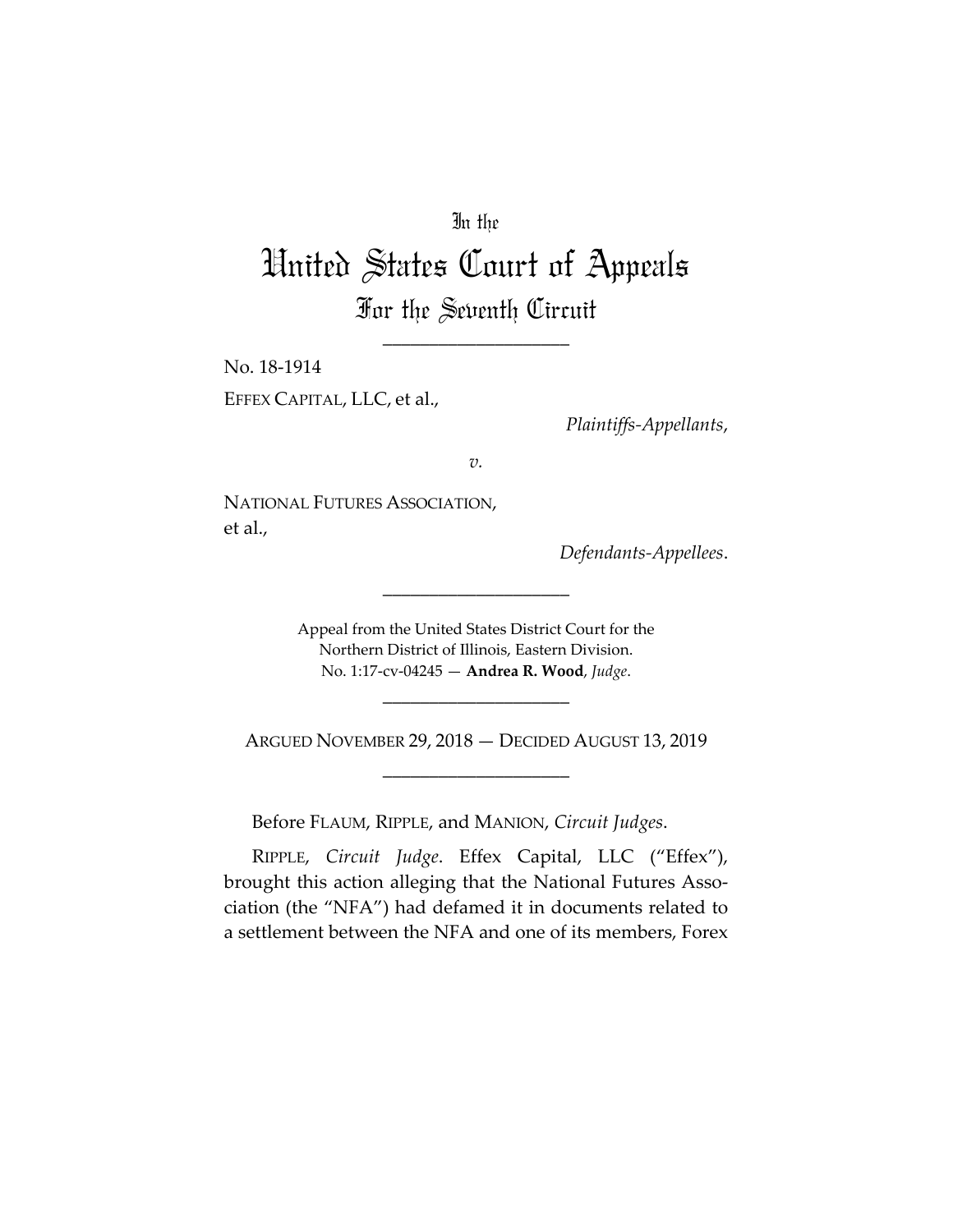# In the

# United States Court of Appeals For the Seventh Circuit

\_\_\_\_\_\_\_\_\_\_\_\_\_\_\_\_\_\_\_\_

No. 18‐1914

EFFEX CAPITAL, LLC, et al.,

*Plaintiffs‐Appellants*,

*v.*

NATIONAL FUTURES ASSOCIATION, et al.,

*Defendants‐Appellees*.

Appeal from the United States District Court for the Northern District of Illinois, Eastern Division. No. 1:17‐cv‐04245 — **Andrea R. Wood**, *Judge*.

\_\_\_\_\_\_\_\_\_\_\_\_\_\_\_\_\_\_\_\_

ARGUED NOVEMBER 29, 2018 — DECIDED AUGUST 13, 2019 \_\_\_\_\_\_\_\_\_\_\_\_\_\_\_\_\_\_\_\_

\_\_\_\_\_\_\_\_\_\_\_\_\_\_\_\_\_\_\_\_

Before FLAUM, RIPPLE, and MANION, *Circuit Judges*.

RIPPLE, *Circuit Judge*. Effex Capital, LLC ("Effex"), brought this action alleging that the National Futures Association (the "NFA") had defamed it in documents related to a settlement between the NFA and one of its members, Forex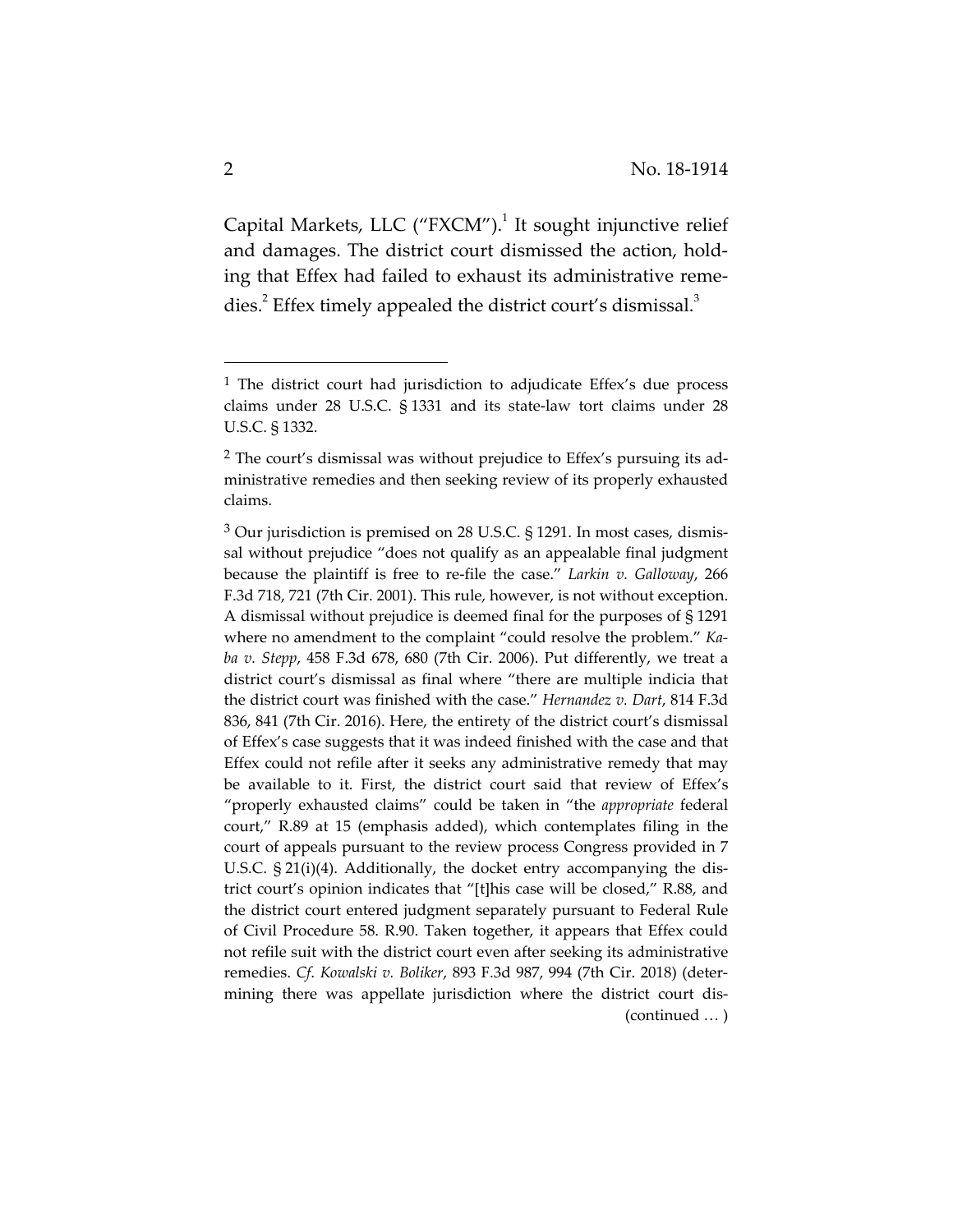Capital Markets, LLC ("FXCM").<sup>1</sup> It sought injunctive relief and damages. The district court dismissed the action, hold‐ ing that Effex had failed to exhaust its administrative reme‐ dies. $^2$  Effex timely appealed the district court's dismissal. $^3$ 

 $<sup>1</sup>$  The district court had jurisdiction to adjudicate Effex's due process</sup> claims under 28 U.S.C. § 1331 and its state‐law tort claims under 28 U.S.C. § 1332.

<sup>&</sup>lt;sup>2</sup> The court's dismissal was without prejudice to Effex's pursuing its administrative remedies and then seeking review of its properly exhausted claims.

<sup>3</sup> Our jurisdiction is premised on 28 U.S.C. § 1291. In most cases, dismis‐ sal without prejudice "does not qualify as an appealable final judgment because the plaintiff is free to re‐file the case." *Larkin v. Galloway*, 266 F.3d 718, 721 (7th Cir. 2001). This rule, however, is not without exception. A dismissal without prejudice is deemed final for the purposes of § 1291 where no amendment to the complaint "could resolve the problem." *Ka‐ ba v. Stepp*, 458 F.3d 678, 680 (7th Cir. 2006). Put differently, we treat a district court's dismissal as final where "there are multiple indicia that the district court was finished with the case." *Hernandez v. Dart*, 814 F.3d 836, 841 (7th Cir. 2016). Here, the entirety of the district court's dismissal of Effex's case suggests that it was indeed finished with the case and that Effex could not refile after it seeks any administrative remedy that may be available to it. First, the district court said that review of Effex's "properly exhausted claims" could be taken in "the *appropriate* federal court," R.89 at 15 (emphasis added), which contemplates filing in the court of appeals pursuant to the review process Congress provided in 7 U.S.C. § 21(i)(4). Additionally, the docket entry accompanying the dis‐ trict court's opinion indicates that "[t]his case will be closed," R.88, and the district court entered judgment separately pursuant to Federal Rule of Civil Procedure 58. R.90. Taken together, it appears that Effex could not refile suit with the district court even after seeking its administrative remedies. *Cf*. *Kowalski v. Boliker*, 893 F.3d 987, 994 (7th Cir. 2018) (deter‐ mining there was appellate jurisdiction where the district court dis-(continued … )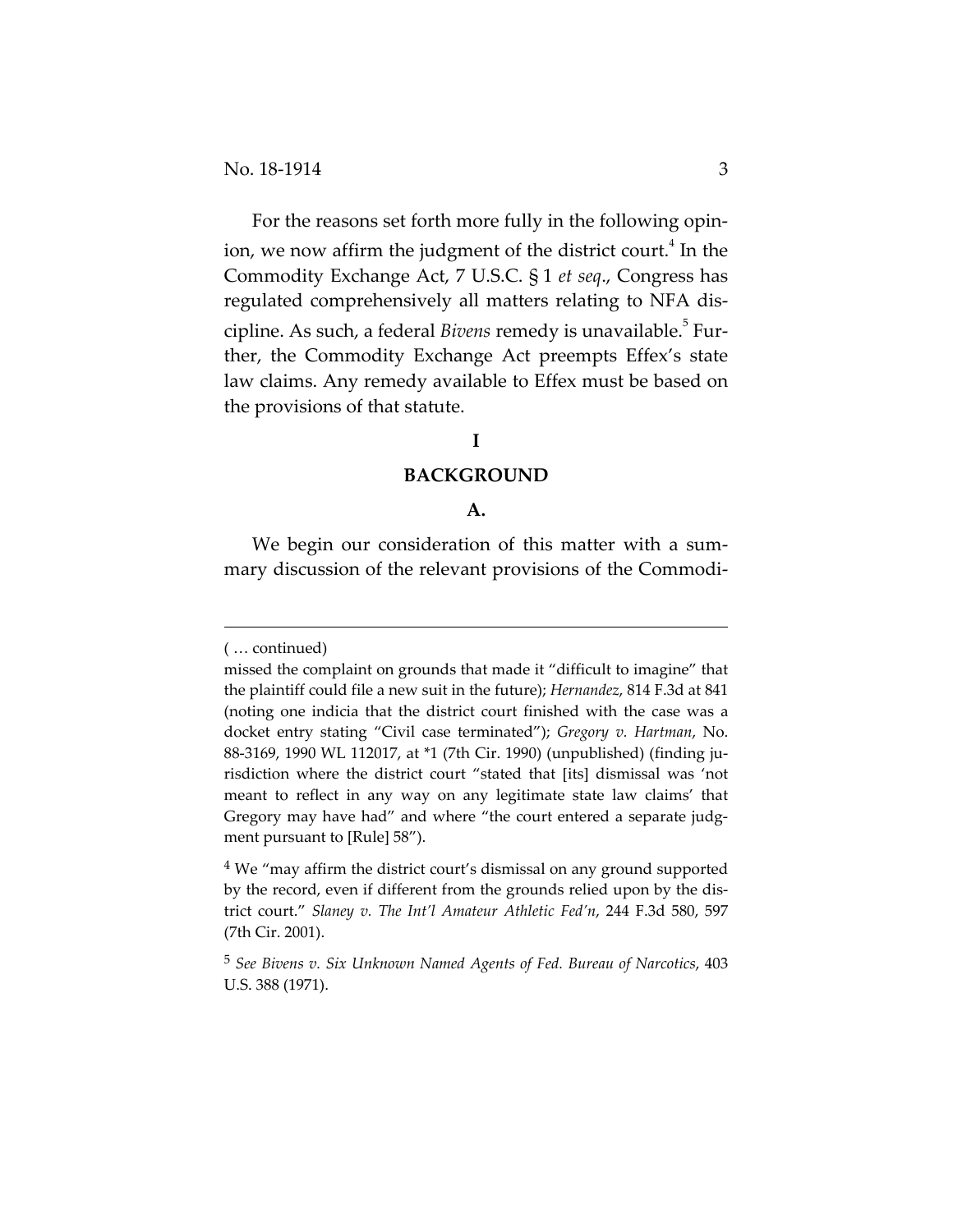For the reasons set forth more fully in the following opin‐ ion, we now affirm the judgment of the district court.<sup>4</sup> In the Commodity Exchange Act, 7 U.S.C. § 1 *et seq*., Congress has regulated comprehensively all matters relating to NFA dis‐ cipline. As such, a federal *Bivens* remedy is unavailable.<sup>5</sup> Further, the Commodity Exchange Act preempts Effex's state law claims. Any remedy available to Effex must be based on the provisions of that statute.

# **I**

#### **BACKGROUND**

#### **A.**

We begin our consideration of this matter with a summary discussion of the relevant provisions of the Commodi-

<u> Andreas Andreas Andreas Andreas Andreas Andreas Andreas Andreas Andreas Andreas Andreas Andreas Andreas Andr</u>

<sup>(</sup> … continued)

missed the complaint on grounds that made it "difficult to imagine" that the plaintiff could file a new suit in the future); *Hernandez*, 814 F.3d at 841 (noting one indicia that the district court finished with the case was a docket entry stating "Civil case terminated"); *Gregory v. Hartman*, No. 88‐3169, 1990 WL 112017, at \*1 (7th Cir. 1990) (unpublished) (finding ju‐ risdiction where the district court "stated that [its] dismissal was 'not meant to reflect in any way on any legitimate state law claims' that Gregory may have had" and where "the court entered a separate judgment pursuant to [Rule] 58").

<sup>&</sup>lt;sup>4</sup> We "may affirm the district court's dismissal on any ground supported by the record, even if different from the grounds relied upon by the dis‐ trict court." *Slaney v. The Int'l Amateur Athletic Fed'n*, 244 F.3d 580, 597 (7th Cir. 2001).

<sup>5</sup> *See Bivens v. Six Unknown Named Agents of Fed. Bureau of Narcotics*, 403 U.S. 388 (1971).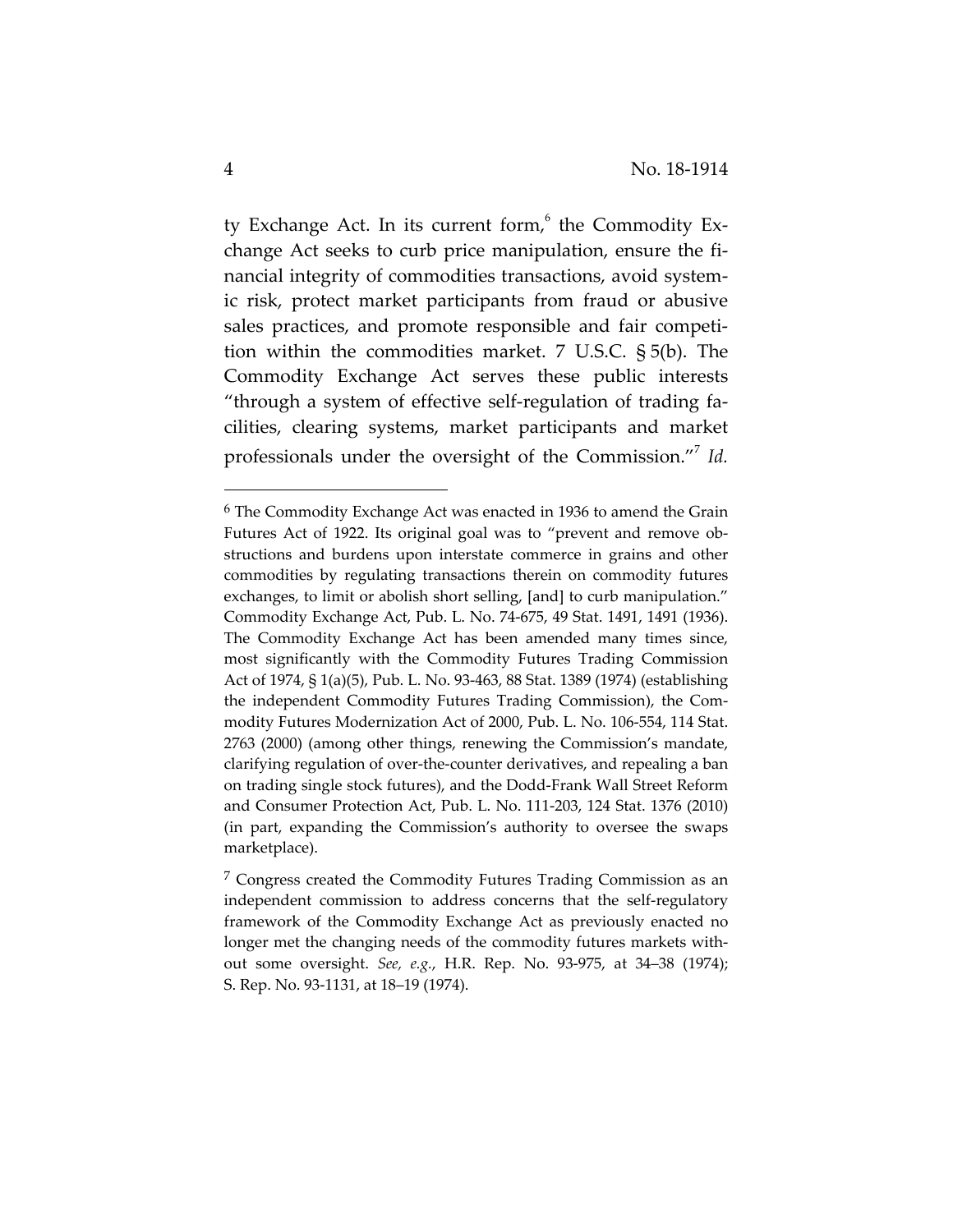ty Exchange Act. In its current form, $6$  the Commodity Exchange Act seeks to curb price manipulation, ensure the financial integrity of commodities transactions, avoid system‐ ic risk, protect market participants from fraud or abusive sales practices, and promote responsible and fair competition within the commodities market. 7 U.S.C. § 5(b). The Commodity Exchange Act serves these public interests "through a system of effective self‐regulation of trading fa‐ cilities, clearing systems, market participants and market professionals under the oversight of the Commission."<sup>7</sup> Id.

<sup>6</sup> The Commodity Exchange Act was enacted in 1936 to amend the Grain Futures Act of 1922. Its original goal was to "prevent and remove ob‐ structions and burdens upon interstate commerce in grains and other commodities by regulating transactions therein on commodity futures exchanges, to limit or abolish short selling, [and] to curb manipulation." Commodity Exchange Act, Pub. L. No. 74‐675, 49 Stat. 1491, 1491 (1936). The Commodity Exchange Act has been amended many times since, most significantly with the Commodity Futures Trading Commission Act of 1974, § 1(a)(5), Pub. L. No. 93‐463, 88 Stat. 1389 (1974) (establishing the independent Commodity Futures Trading Commission), the Com‐ modity Futures Modernization Act of 2000, Pub. L. No. 106‐554, 114 Stat. 2763 (2000) (among other things, renewing the Commission's mandate, clarifying regulation of over‐the‐counter derivatives, and repealing a ban on trading single stock futures), and the Dodd‐Frank Wall Street Reform and Consumer Protection Act, Pub. L. No. 111‐203, 124 Stat. 1376 (2010) (in part, expanding the Commission's authority to oversee the swaps marketplace).

<sup>7</sup> Congress created the Commodity Futures Trading Commission as an independent commission to address concerns that the self-regulatory framework of the Commodity Exchange Act as previously enacted no longer met the changing needs of the commodity futures markets with‐ out some oversight. *See, e.g.*, H.R. Rep. No. 93‐975, at 34–38 (1974); S. Rep. No. 93‐1131, at 18–19 (1974).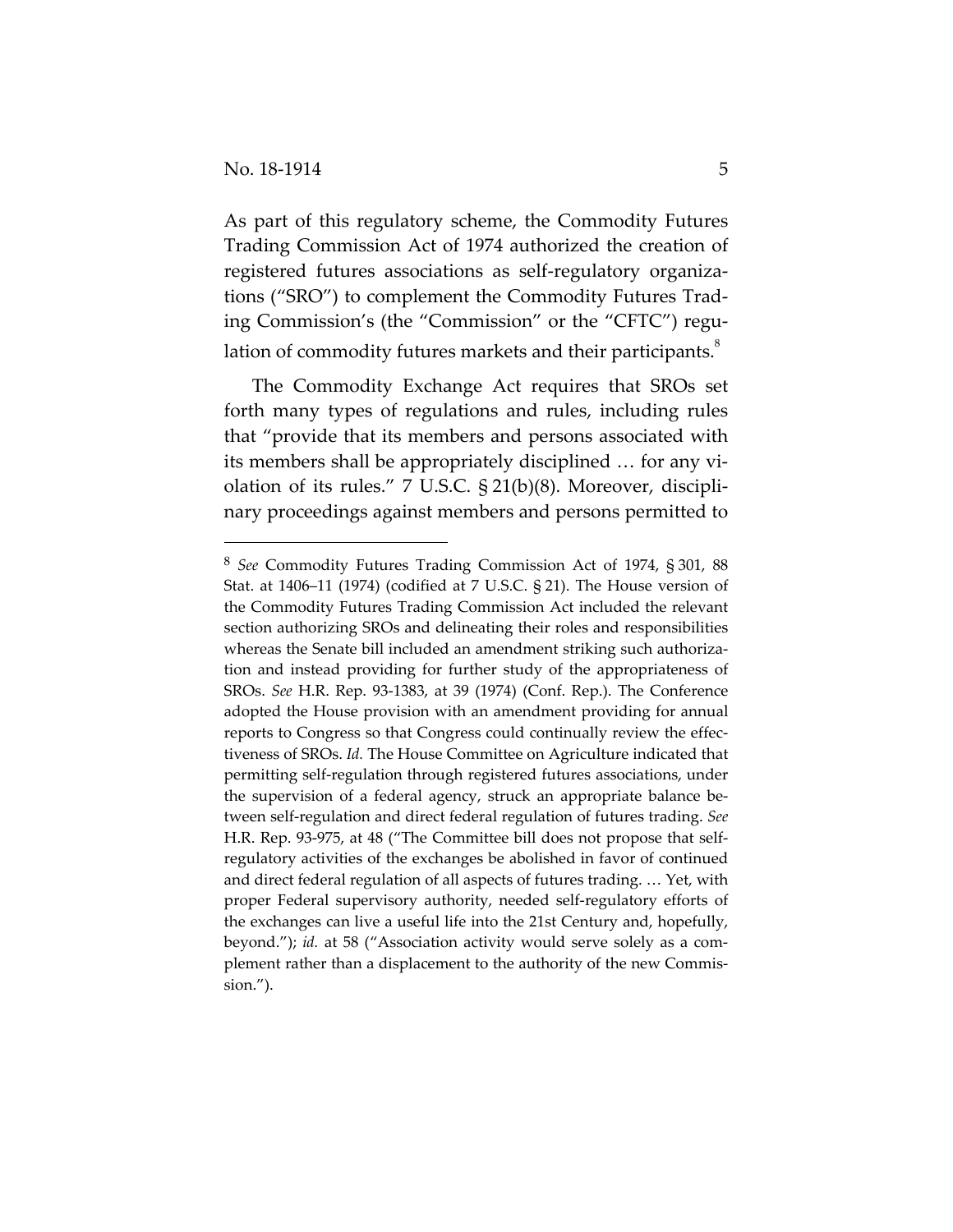As part of this regulatory scheme, the Commodity Futures Trading Commission Act of 1974 authorized the creation of registered futures associations as self‐regulatory organiza‐ tions ("SRO") to complement the Commodity Futures Trad‐ ing Commission's (the "Commission" or the "CFTC") regu‐ lation of commodity futures markets and their participants. $^8$ 

The Commodity Exchange Act requires that SROs set forth many types of regulations and rules, including rules that "provide that its members and persons associated with its members shall be appropriately disciplined ... for any violation of its rules." 7 U.S.C. § 21(b)(8). Moreover, discipli‐ nary proceedings against members and persons permitted to

<sup>8</sup> *See* Commodity Futures Trading Commission Act of 1974, § 301, 88 Stat. at 1406–11 (1974) (codified at 7 U.S.C. § 21). The House version of the Commodity Futures Trading Commission Act included the relevant section authorizing SROs and delineating their roles and responsibilities whereas the Senate bill included an amendment striking such authorization and instead providing for further study of the appropriateness of SROs. *See* H.R. Rep. 93‐1383, at 39 (1974) (Conf. Rep.). The Conference adopted the House provision with an amendment providing for annual reports to Congress so that Congress could continually review the effec‐ tiveness of SROs. *Id.* The House Committee on Agriculture indicated that permitting self‐regulation through registered futures associations, under the supervision of a federal agency, struck an appropriate balance be‐ tween self‐regulation and direct federal regulation of futures trading. *See* H.R. Rep. 93‐975, at 48 ("The Committee bill does not propose that self‐ regulatory activities of the exchanges be abolished in favor of continued and direct federal regulation of all aspects of futures trading. … Yet, with proper Federal supervisory authority, needed self‐regulatory efforts of the exchanges can live a useful life into the 21st Century and, hopefully, beyond."); *id.* at 58 ("Association activity would serve solely as a complement rather than a displacement to the authority of the new Commission.").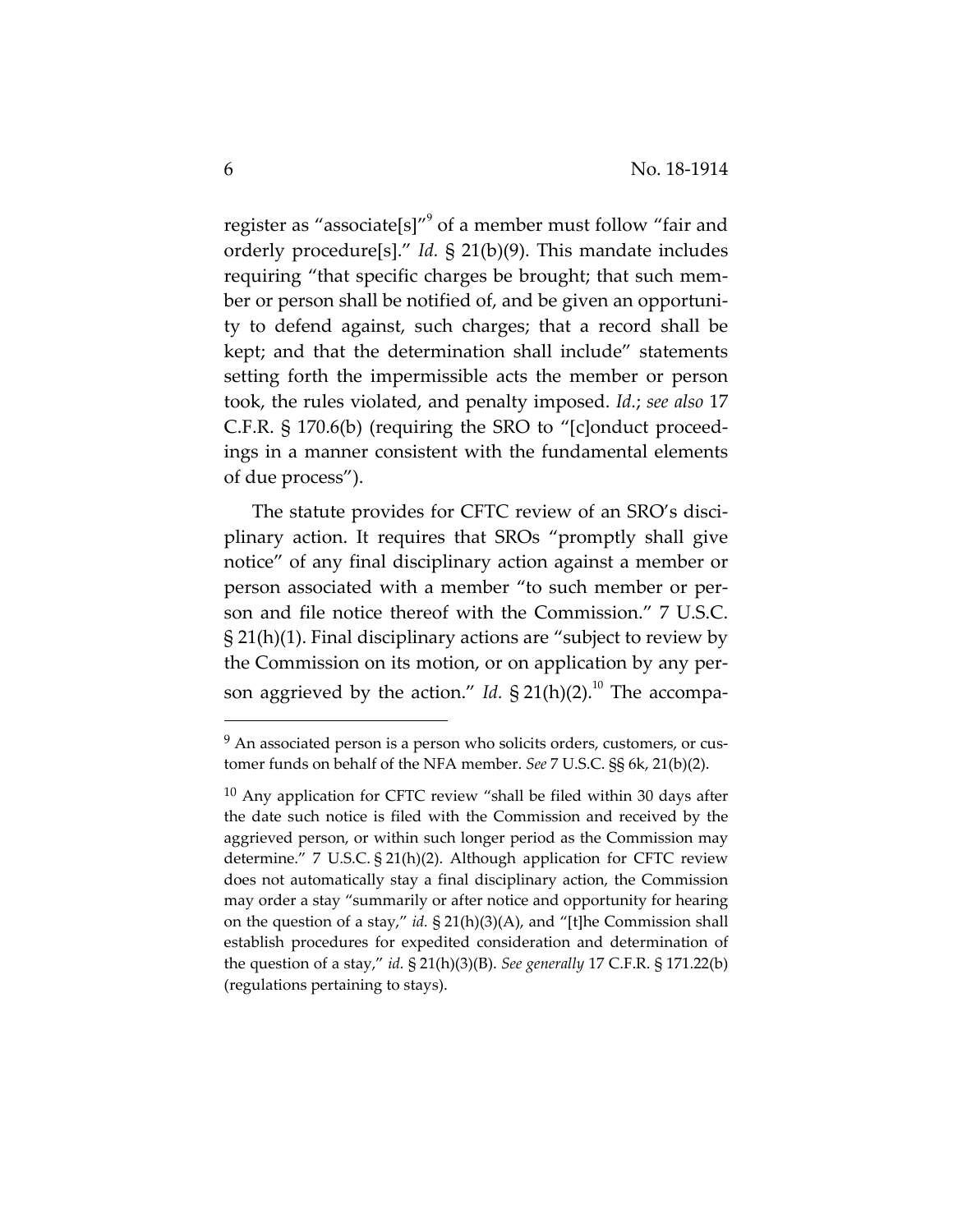register as "associate[s]" $\degree$  of a member must follow "fair and orderly procedure[s]." *Id.* § 21(b)(9). This mandate includes requiring "that specific charges be brought; that such mem‐ ber or person shall be notified of, and be given an opportuni‐ ty to defend against, such charges; that a record shall be kept; and that the determination shall include" statements setting forth the impermissible acts the member or person took, the rules violated, and penalty imposed. *Id.*; *see also* 17 C.F.R. § 170.6(b) (requiring the SRO to "[c]onduct proceed‐ ings in a manner consistent with the fundamental elements of due process").

The statute provides for CFTC review of an SRO's disciplinary action. It requires that SROs "promptly shall give notice" of any final disciplinary action against a member or person associated with a member "to such member or per‐ son and file notice thereof with the Commission." 7 U.S.C. § 21(h)(1). Final disciplinary actions are "subject to review by the Commission on its motion, or on application by any per‐ son aggrieved by the action." *Id.*  $\S 21(h)(2)$ .<sup>10</sup> The accompa-

<sup>&</sup>lt;sup>9</sup> An associated person is a person who solicits orders, customers, or customer funds on behalf of the NFA member. *See* 7 U.S.C. §§ 6k, 21(b)(2).

 $10$  Any application for CFTC review "shall be filed within 30 days after the date such notice is filed with the Commission and received by the aggrieved person, or within such longer period as the Commission may determine." 7 U.S.C. § 21(h)(2). Although application for CFTC review does not automatically stay a final disciplinary action, the Commission may order a stay "summarily or after notice and opportunity for hearing on the question of a stay," *id.* § 21(h)(3)(A), and "[t]he Commission shall establish procedures for expedited consideration and determination of the question of a stay," *id.* § 21(h)(3)(B). *See generally* 17 C.F.R. § 171.22(b) (regulations pertaining to stays).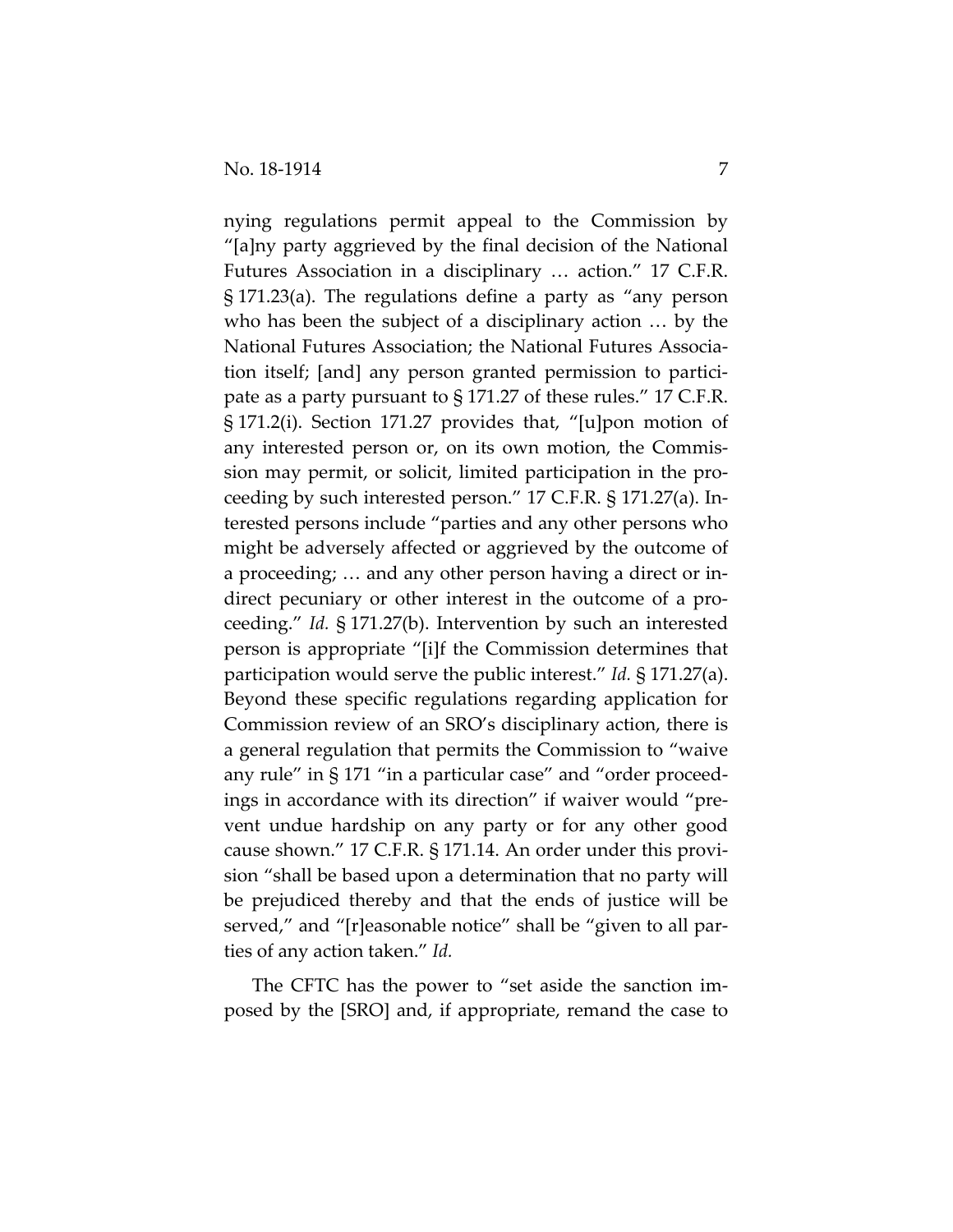nying regulations permit appeal to the Commission by "[a]ny party aggrieved by the final decision of the National Futures Association in a disciplinary … action." 17 C.F.R. § 171.23(a). The regulations define a party as "any person who has been the subject of a disciplinary action … by the National Futures Association; the National Futures Associa‐ tion itself; [and] any person granted permission to partici‐ pate as a party pursuant to § 171.27 of these rules." 17 C.F.R. § 171.2(i). Section 171.27 provides that, "[u]pon motion of any interested person or, on its own motion, the Commis‐ sion may permit, or solicit, limited participation in the pro‐ ceeding by such interested person." 17 C.F.R. § 171.27(a). In‐ terested persons include "parties and any other persons who might be adversely affected or aggrieved by the outcome of a proceeding; … and any other person having a direct or in‐ direct pecuniary or other interest in the outcome of a pro‐ ceeding." *Id.* § 171.27(b). Intervention by such an interested person is appropriate "[i]f the Commission determines that participation would serve the public interest." *Id.* § 171.27(a). Beyond these specific regulations regarding application for Commission review of an SRO's disciplinary action, there is a general regulation that permits the Commission to "waive any rule" in § 171 "in a particular case" and "order proceed‐ ings in accordance with its direction" if waiver would "pre‐ vent undue hardship on any party or for any other good cause shown." 17 C.F.R. § 171.14. An order under this provi‐ sion "shall be based upon a determination that no party will be prejudiced thereby and that the ends of justice will be served," and "[r]easonable notice" shall be "given to all parties of any action taken." *Id.*

The CFTC has the power to "set aside the sanction im‐ posed by the [SRO] and, if appropriate, remand the case to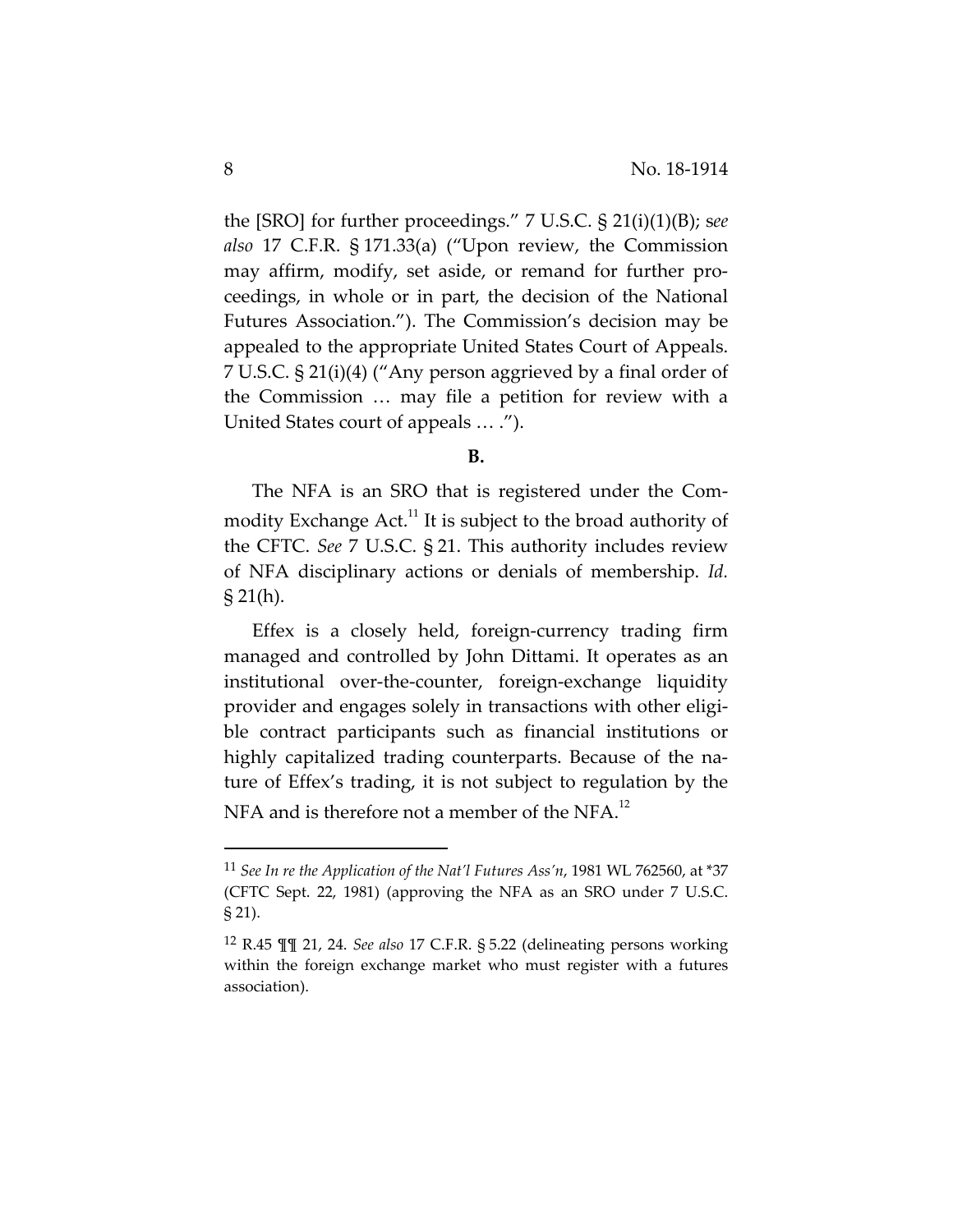the [SRO] for further proceedings." 7 U.S.C. § 21(i)(1)(B); s*ee also* 17 C.F.R. § 171.33(a) ("Upon review, the Commission may affirm, modify, set aside, or remand for further pro‐ ceedings, in whole or in part, the decision of the National Futures Association."). The Commission's decision may be appealed to the appropriate United States Court of Appeals. 7 U.S.C. § 21(i)(4) ("Any person aggrieved by a final order of the Commission … may file a petition for review with a United States court of appeals … .").

**B.**

The NFA is an SRO that is registered under the Com‐ modity Exchange  $Act.^{11}$  It is subject to the broad authority of the CFTC. *See* 7 U.S.C. § 21. This authority includes review of NFA disciplinary actions or denials of membership. *Id.* § 21(h).

Effex is a closely held, foreign‐currency trading firm managed and controlled by John Dittami. It operates as an institutional over-the-counter, foreign-exchange liquidity provider and engages solely in transactions with other eligi‐ ble contract participants such as financial institutions or highly capitalized trading counterparts. Because of the nature of Effex's trading, it is not subject to regulation by the NFA and is therefore not a member of the NFA. $^{12}$ 

<sup>11</sup> *See In re the Application of the Nat'l Futures Ass'n*, 1981 WL 762560, at \*37 (CFTC Sept. 22, 1981) (approving the NFA as an SRO under 7 U.S.C. § 21).

<sup>12</sup> R.45 ¶¶ 21, 24. *See also* 17 C.F.R. § 5.22 (delineating persons working within the foreign exchange market who must register with a futures association).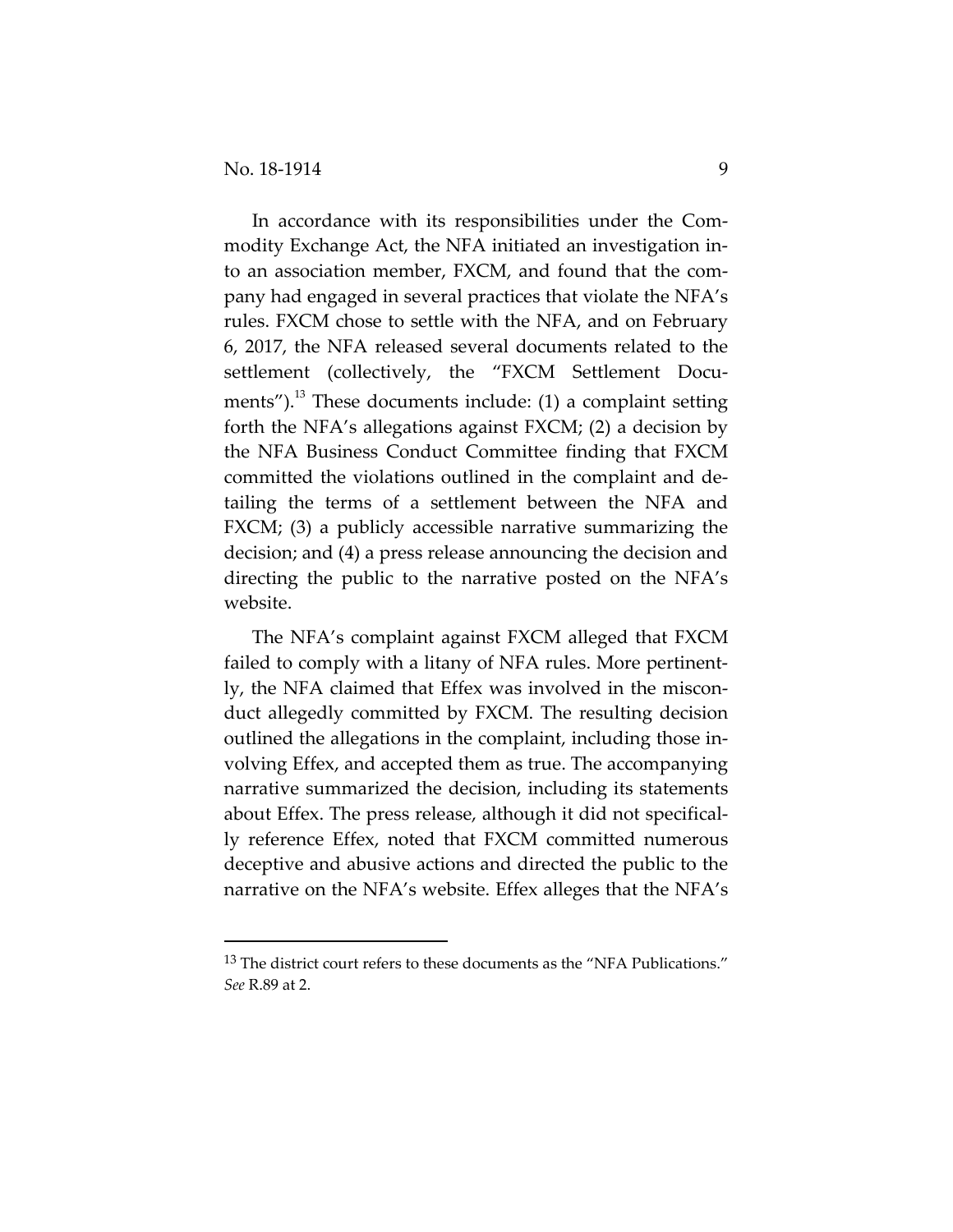In accordance with its responsibilities under the Com‐ modity Exchange Act, the NFA initiated an investigation in‐ to an association member, FXCM, and found that the com‐ pany had engaged in several practices that violate the NFA's rules. FXCM chose to settle with the NFA, and on February 6, 2017, the NFA released several documents related to the settlement (collectively, the "FXCM Settlement Documents"). $^{13}$  These documents include: (1) a complaint setting forth the NFA's allegations against FXCM; (2) a decision by the NFA Business Conduct Committee finding that FXCM committed the violations outlined in the complaint and de‐ tailing the terms of a settlement between the NFA and FXCM; (3) a publicly accessible narrative summarizing the decision; and (4) a press release announcing the decision and directing the public to the narrative posted on the NFA's website.

The NFA's complaint against FXCM alleged that FXCM failed to comply with a litany of NFA rules. More pertinently, the NFA claimed that Effex was involved in the miscon‐ duct allegedly committed by FXCM. The resulting decision outlined the allegations in the complaint, including those in‐ volving Effex, and accepted them as true. The accompanying narrative summarized the decision, including its statements about Effex. The press release, although it did not specifical‐ ly reference Effex, noted that FXCM committed numerous deceptive and abusive actions and directed the public to the narrative on the NFA's website. Effex alleges that the NFA's

<sup>&</sup>lt;sup>13</sup> The district court refers to these documents as the "NFA Publications." *See* R.89 at 2.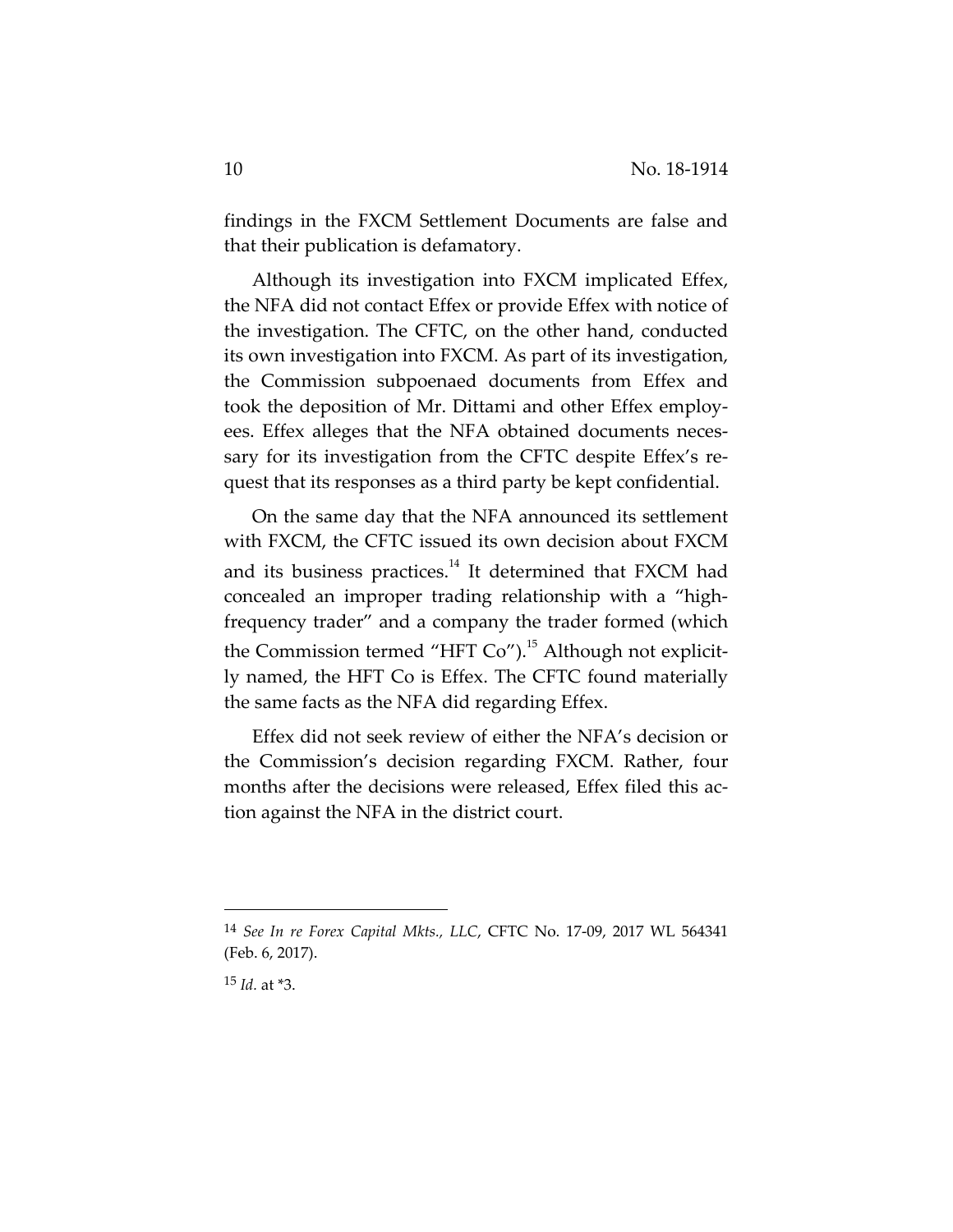findings in the FXCM Settlement Documents are false and that their publication is defamatory.

Although its investigation into FXCM implicated Effex, the NFA did not contact Effex or provide Effex with notice of the investigation. The CFTC, on the other hand, conducted its own investigation into FXCM. As part of its investigation, the Commission subpoenaed documents from Effex and took the deposition of Mr. Dittami and other Effex employ‐ ees. Effex alleges that the NFA obtained documents neces‐ sary for its investigation from the CFTC despite Effex's re‐ quest that its responses as a third party be kept confidential.

On the same day that the NFA announced its settlement with FXCM, the CFTC issued its own decision about FXCM and its business practices.<sup>14</sup> It determined that FXCM had concealed an improper trading relationship with a "high‐ frequency trader" and a company the trader formed (which the Commission termed "HFT  $Co$ ").<sup>15</sup> Although not explicitly named, the HFT Co is Effex. The CFTC found materially the same facts as the NFA did regarding Effex.

Effex did not seek review of either the NFA's decision or the Commission's decision regarding FXCM. Rather, four months after the decisions were released, Effex filed this action against the NFA in the district court.

<sup>14</sup> *See In re Forex Capital Mkts., LLC*, CFTC No. 17‐09, 2017 WL 564341 (Feb. 6, 2017).

<sup>15</sup> *Id.* at \*3.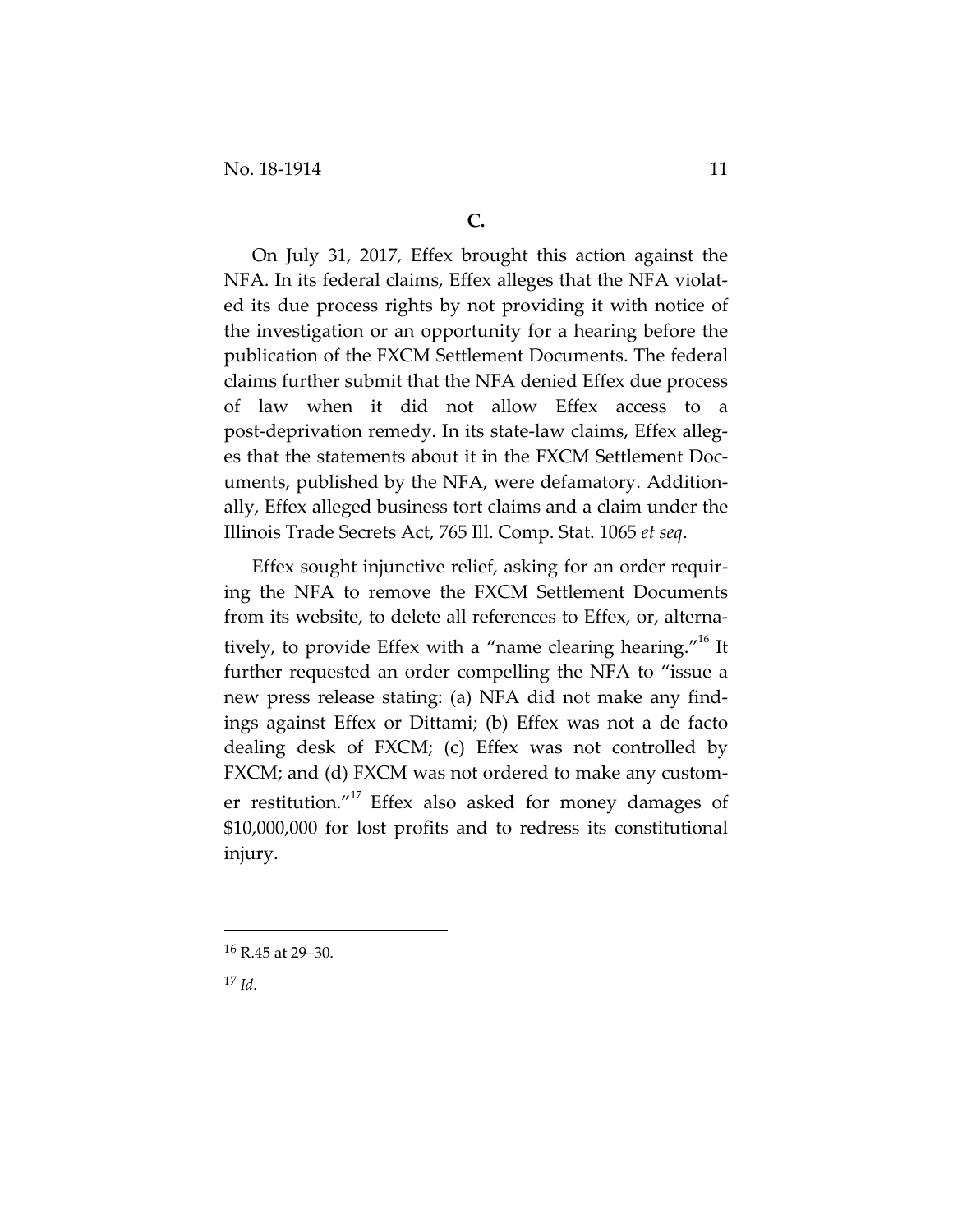On July 31, 2017, Effex brought this action against the NFA. In its federal claims, Effex alleges that the NFA violat‐ ed its due process rights by not providing it with notice of the investigation or an opportunity for a hearing before the publication of the FXCM Settlement Documents. The federal claims further submit that the NFA denied Effex due process of law when it did not allow Effex access to a post‐deprivation remedy. In its state‐law claims, Effex alleg‐ es that the statements about it in the FXCM Settlement Doc‐ uments, published by the NFA, were defamatory. Addition‐ ally, Effex alleged business tort claims and a claim under the Illinois Trade Secrets Act, 765 Ill. Comp. Stat. 1065 *et seq*.

Effex sought injunctive relief, asking for an order requir‐ ing the NFA to remove the FXCM Settlement Documents from its website, to delete all references to Effex, or, alterna‐ tively, to provide Effex with a "name clearing hearing."<sup>16</sup> It further requested an order compelling the NFA to "issue a new press release stating: (a) NFA did not make any find‐ ings against Effex or Dittami; (b) Effex was not a de facto dealing desk of FXCM; (c) Effex was not controlled by FXCM; and (d) FXCM was not ordered to make any custom‐ er restitution."<sup>17</sup> Effex also asked for money damages of \$10,000,000 for lost profits and to redress its constitutional injury.

<sup>16</sup> R.45 at 29–30.

<sup>17</sup> *Id.*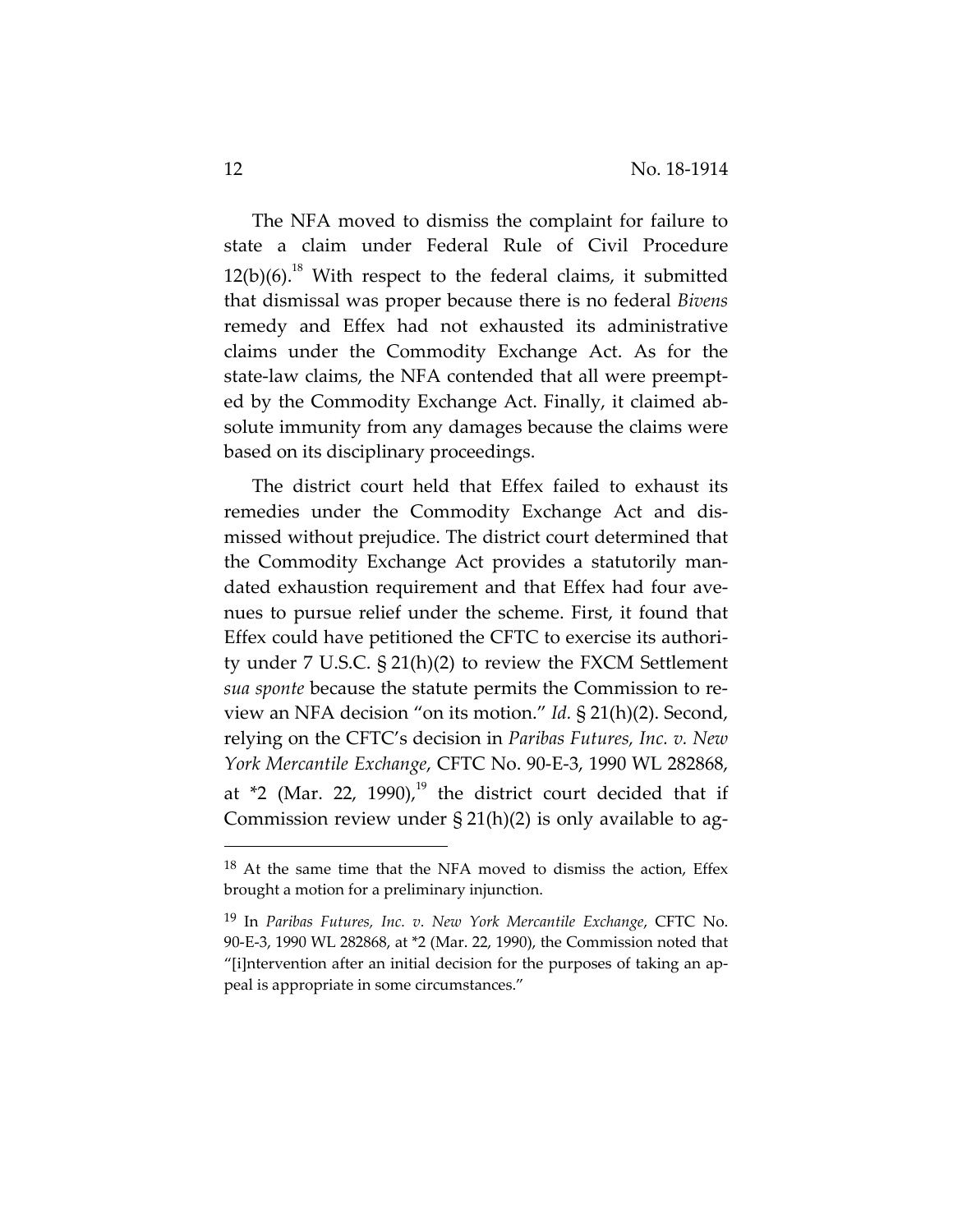The NFA moved to dismiss the complaint for failure to state a claim under Federal Rule of Civil Procedure  $12(b)(6).$ <sup>18</sup> With respect to the federal claims, it submitted that dismissal was proper because there is no federal *Bivens* remedy and Effex had not exhausted its administrative claims under the Commodity Exchange Act. As for the state‐law claims, the NFA contended that all were preempt‐ ed by the Commodity Exchange Act. Finally, it claimed ab‐ solute immunity from any damages because the claims were based on its disciplinary proceedings.

The district court held that Effex failed to exhaust its remedies under the Commodity Exchange Act and dis‐ missed without prejudice. The district court determined that the Commodity Exchange Act provides a statutorily man‐ dated exhaustion requirement and that Effex had four ave‐ nues to pursue relief under the scheme. First, it found that Effex could have petitioned the CFTC to exercise its authori‐ ty under 7 U.S.C. § 21(h)(2) to review the FXCM Settlement *sua sponte* because the statute permits the Commission to re‐ view an NFA decision "on its motion." *Id.* § 21(h)(2). Second, relying on the CFTC's decision in *Paribas Futures, Inc. v. New York Mercantile Exchange*, CFTC No. 90‐E‐3, 1990 WL 282868, at  $*2$  (Mar. 22, 1990),<sup>19</sup> the district court decided that if Commission review under  $\S 21(h)(2)$  is only available to ag-

 $18$  At the same time that the NFA moved to dismiss the action, Effex brought a motion for a preliminary injunction.

<sup>19</sup> In *Paribas Futures, Inc. v. New York Mercantile Exchange*, CFTC No. 90‐E‐3, 1990 WL 282868, at \*2 (Mar. 22, 1990), the Commission noted that "[i]ntervention after an initial decision for the purposes of taking an ap‐ peal is appropriate in some circumstances."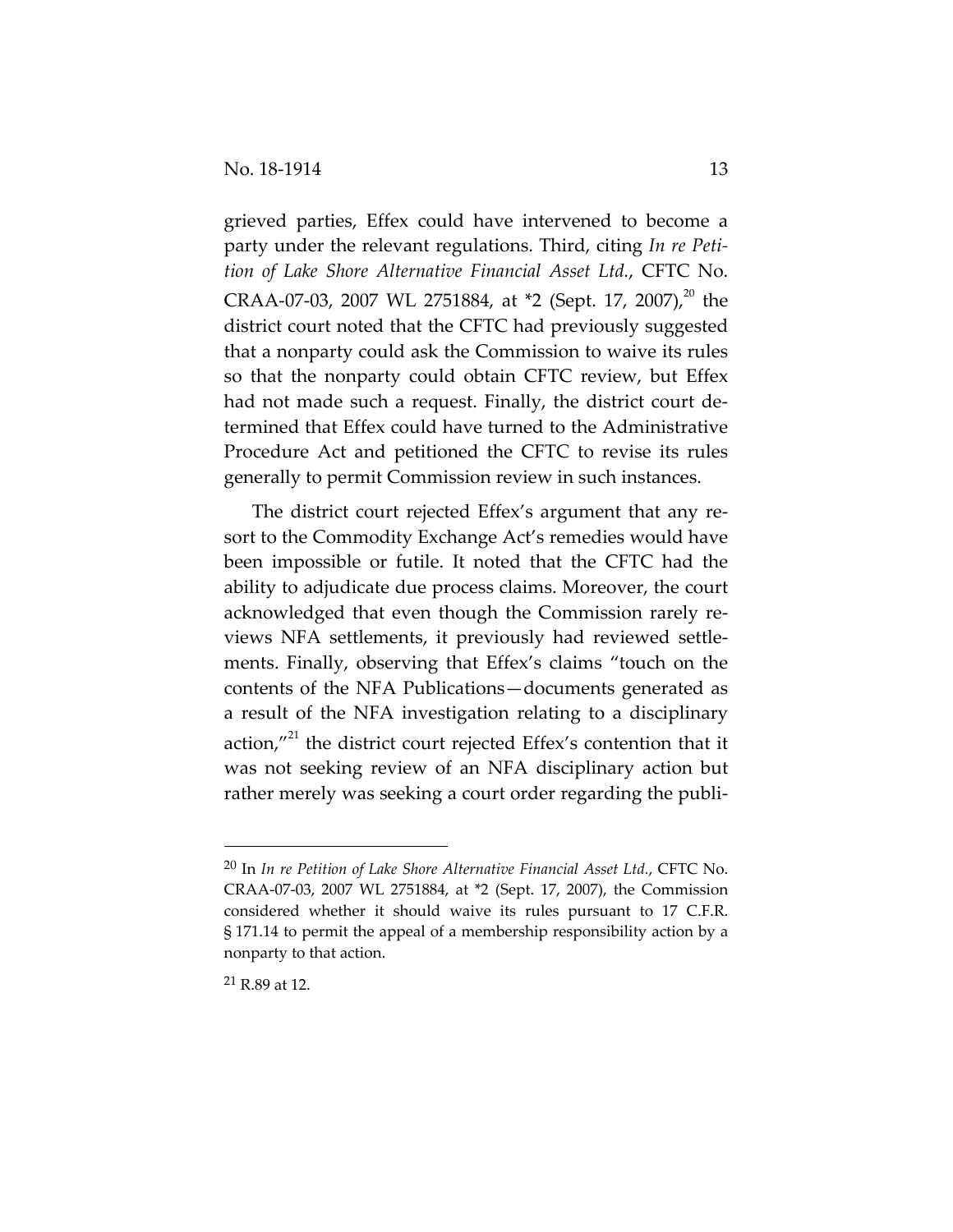grieved parties, Effex could have intervened to become a party under the relevant regulations. Third, citing *In re Peti‐ tion of Lake Shore Alternative Financial Asset Ltd.*, CFTC No. CRAA-07-03, 2007 WL 2751884, at \*2 (Sept. 17, 2007),<sup>20</sup> the district court noted that the CFTC had previously suggested that a nonparty could ask the Commission to waive its rules so that the nonparty could obtain CFTC review, but Effex had not made such a request. Finally, the district court de‐ termined that Effex could have turned to the Administrative Procedure Act and petitioned the CFTC to revise its rules generally to permit Commission review in such instances.

The district court rejected Effex's argument that any resort to the Commodity Exchange Act's remedies would have been impossible or futile. It noted that the CFTC had the ability to adjudicate due process claims. Moreover, the court acknowledged that even though the Commission rarely re‐ views NFA settlements, it previously had reviewed settle‐ ments. Finally, observing that Effex's claims "touch on the contents of the NFA Publications—documents generated as a result of the NFA investigation relating to a disciplinary action, $''^{21}$  the district court rejected Effex's contention that it was not seeking review of an NFA disciplinary action but rather merely was seeking a court order regarding the publi-

<sup>20</sup> In *In re Petition of Lake Shore Alternative Financial Asset Ltd.*, CFTC No. CRAA‐07‐03, 2007 WL 2751884, at \*2 (Sept. 17, 2007), the Commission considered whether it should waive its rules pursuant to 17 C.F.R. § 171.14 to permit the appeal of a membership responsibility action by a nonparty to that action.

<sup>21</sup> R.89 at 12.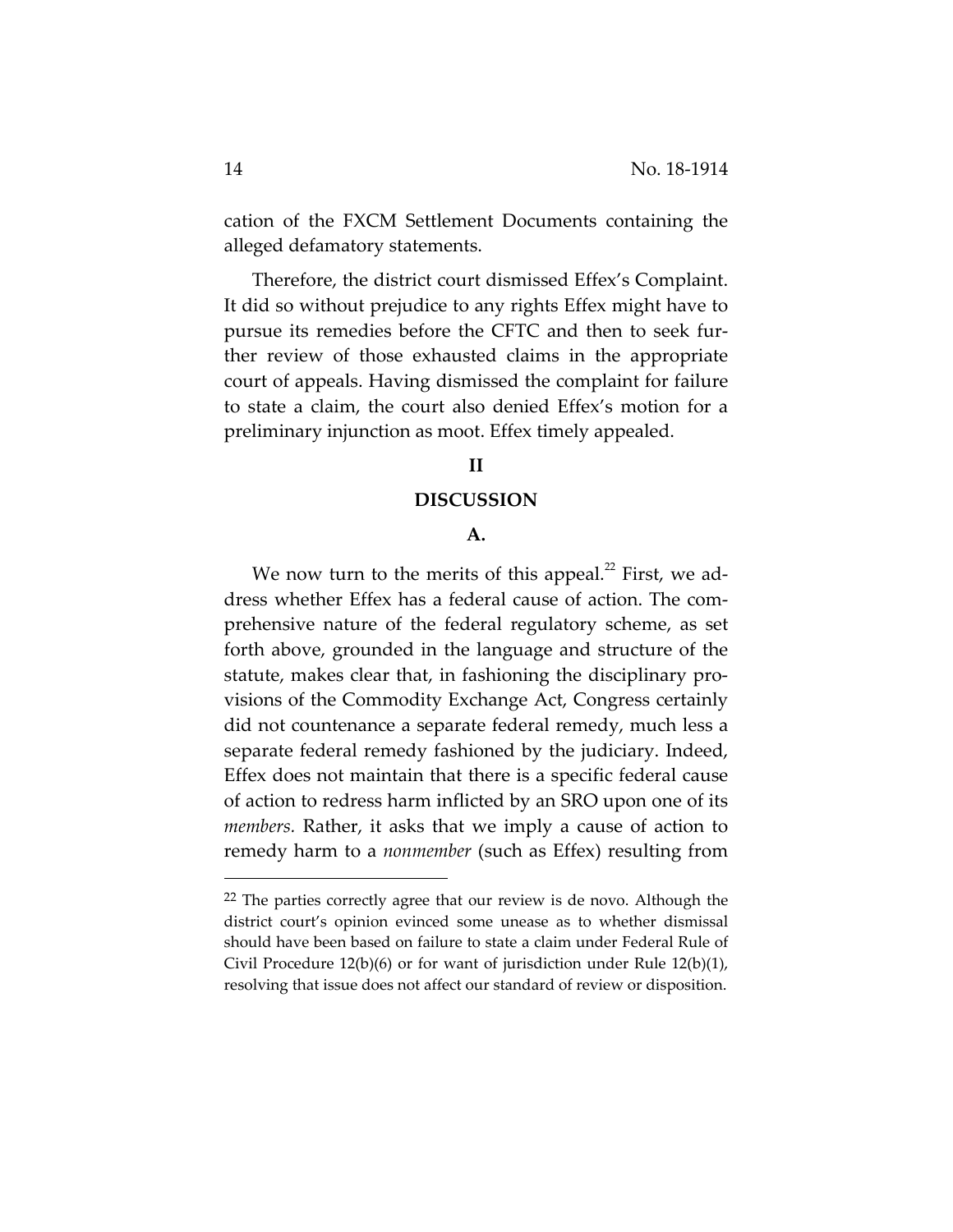cation of the FXCM Settlement Documents containing the alleged defamatory statements.

Therefore, the district court dismissed Effex's Complaint. It did so without prejudice to any rights Effex might have to pursue its remedies before the CFTC and then to seek fur‐ ther review of those exhausted claims in the appropriate court of appeals. Having dismissed the complaint for failure to state a claim, the court also denied Effex's motion for a preliminary injunction as moot. Effex timely appealed.

# **II**

### **DISCUSSION**

### **A.**

We now turn to the merits of this appeal. $^{22}$  First, we address whether Effex has a federal cause of action. The com‐ prehensive nature of the federal regulatory scheme, as set forth above, grounded in the language and structure of the statute, makes clear that, in fashioning the disciplinary pro‐ visions of the Commodity Exchange Act, Congress certainly did not countenance a separate federal remedy, much less a separate federal remedy fashioned by the judiciary. Indeed, Effex does not maintain that there is a specific federal cause of action to redress harm inflicted by an SRO upon one of its *members.* Rather, it asks that we imply a cause of action to remedy harm to a *nonmember* (such as Effex) resulting from

<sup>&</sup>lt;sup>22</sup> The parties correctly agree that our review is de novo. Although the district court's opinion evinced some unease as to whether dismissal should have been based on failure to state a claim under Federal Rule of Civil Procedure 12(b)(6) or for want of jurisdiction under Rule 12(b)(1), resolving that issue does not affect our standard of review or disposition.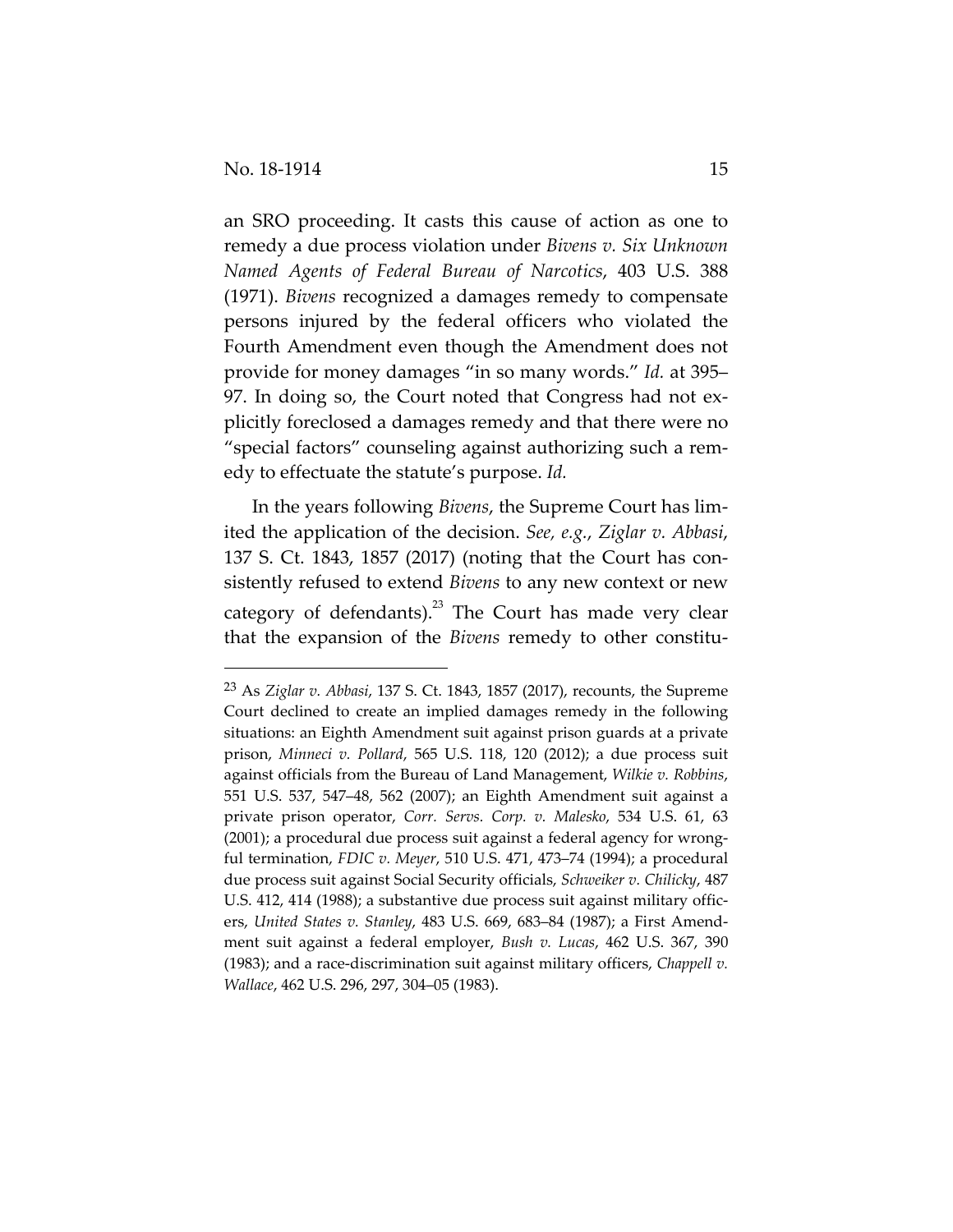an SRO proceeding. It casts this cause of action as one to remedy a due process violation under *Bivens v. Six Unknown Named Agents of Federal Bureau of Narcotics*, 403 U.S. 388 (1971). *Bivens* recognized a damages remedy to compensate persons injured by the federal officers who violated the Fourth Amendment even though the Amendment does not provide for money damages "in so many words." *Id.* at 395– 97. In doing so, the Court noted that Congress had not ex‐ plicitly foreclosed a damages remedy and that there were no "special factors" counseling against authorizing such a rem‐ edy to effectuate the statute's purpose. *Id.* 

In the years following *Bivens*, the Supreme Court has lim‐ ited the application of the decision. *See, e.g.*, *Ziglar v. Abbasi*, 137 S. Ct. 1843, 1857 (2017) (noting that the Court has con‐ sistently refused to extend *Bivens* to any new context or new category of defendants). $^{23}$  The Court has made very clear that the expansion of the *Bivens* remedy to other constitu-

<sup>23</sup> As *Ziglar v. Abbasi*, 137 S. Ct. 1843, 1857 (2017), recounts, the Supreme Court declined to create an implied damages remedy in the following situations: an Eighth Amendment suit against prison guards at a private prison, *Minneci v. Pollard*, 565 U.S. 118, 120 (2012); a due process suit against officials from the Bureau of Land Management, *Wilkie v. Robbins*, 551 U.S. 537, 547–48, 562 (2007); an Eighth Amendment suit against a private prison operator, *Corr. Servs. Corp. v. Malesko*, 534 U.S. 61, 63 (2001); a procedural due process suit against a federal agency for wrong‐ ful termination, *FDIC v. Meyer*, 510 U.S. 471, 473–74 (1994); a procedural due process suit against Social Security officials, *Schweiker v. Chilicky*, 487 U.S. 412, 414 (1988); a substantive due process suit against military officers, *United States v. Stanley*, 483 U.S. 669, 683–84 (1987); a First Amend‐ ment suit against a federal employer, *Bush v. Lucas*, 462 U.S. 367, 390 (1983); and a race‐discrimination suit against military officers, *Chappell v. Wallace*, 462 U.S. 296, 297, 304–05 (1983).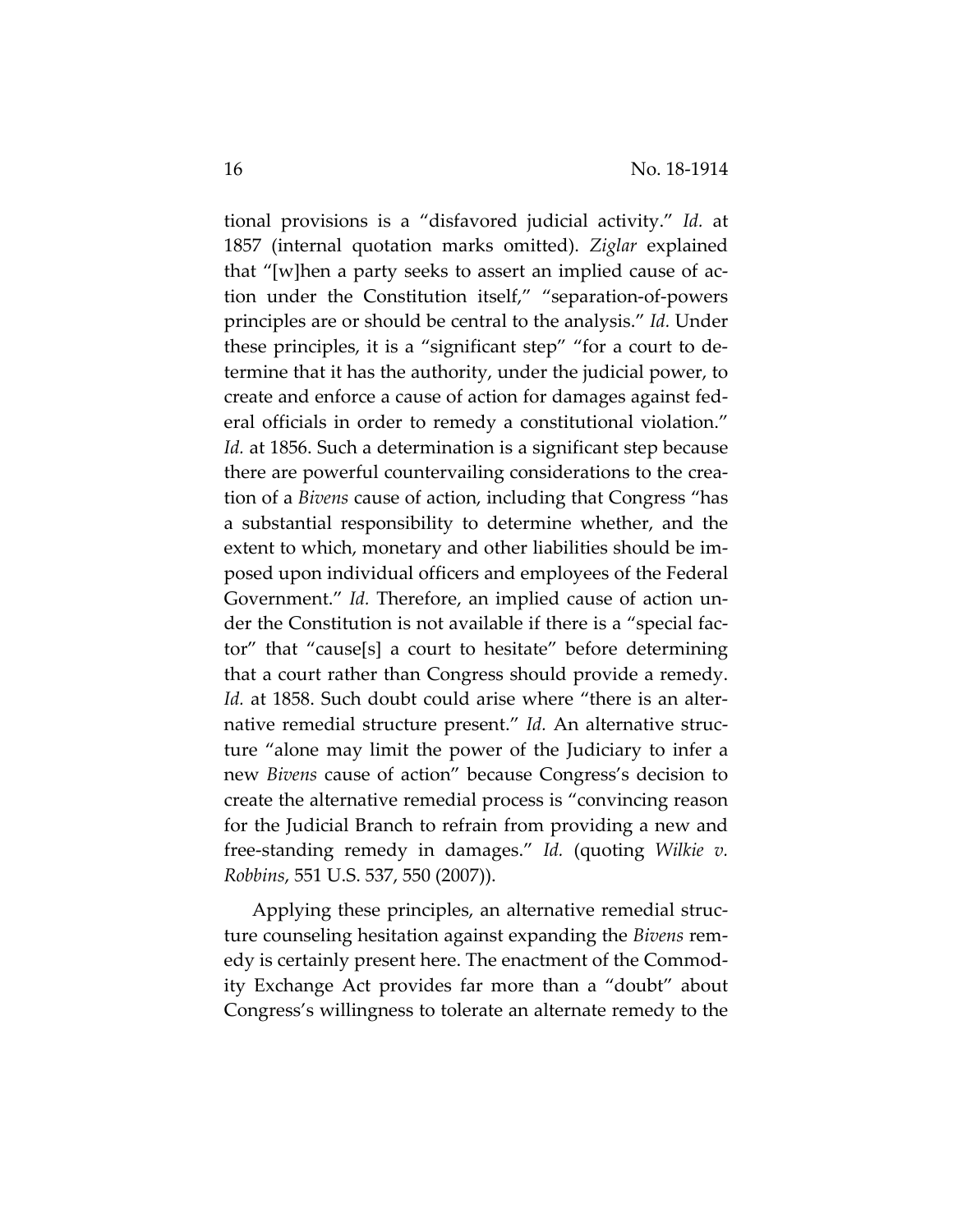tional provisions is a "disfavored judicial activity." *Id.* at 1857 (internal quotation marks omitted). *Ziglar* explained that "[w]hen a party seeks to assert an implied cause of ac‐ tion under the Constitution itself," "separation‐of‐powers principles are or should be central to the analysis." *Id.* Under these principles, it is a "significant step" "for a court to de‐ termine that it has the authority, under the judicial power, to create and enforce a cause of action for damages against fed‐ eral officials in order to remedy a constitutional violation." *Id.* at 1856. Such a determination is a significant step because there are powerful countervailing considerations to the crea‐ tion of a *Bivens* cause of action, including that Congress "has a substantial responsibility to determine whether, and the extent to which, monetary and other liabilities should be im‐ posed upon individual officers and employees of the Federal Government." *Id.* Therefore, an implied cause of action under the Constitution is not available if there is a "special fac‐ tor" that "cause[s] a court to hesitate" before determining that a court rather than Congress should provide a remedy. *Id.* at 1858. Such doubt could arise where "there is an alternative remedial structure present." *Id.* An alternative structure "alone may limit the power of the Judiciary to infer a new *Bivens* cause of action" because Congress's decision to create the alternative remedial process is "convincing reason for the Judicial Branch to refrain from providing a new and free‐standing remedy in damages." *Id.* (quoting *Wilkie v. Robbins*, 551 U.S. 537, 550 (2007)).

Applying these principles, an alternative remedial struc‐ ture counseling hesitation against expanding the *Bivens* rem‐ edy is certainly present here. The enactment of the Commod‐ ity Exchange Act provides far more than a "doubt" about Congress's willingness to tolerate an alternate remedy to the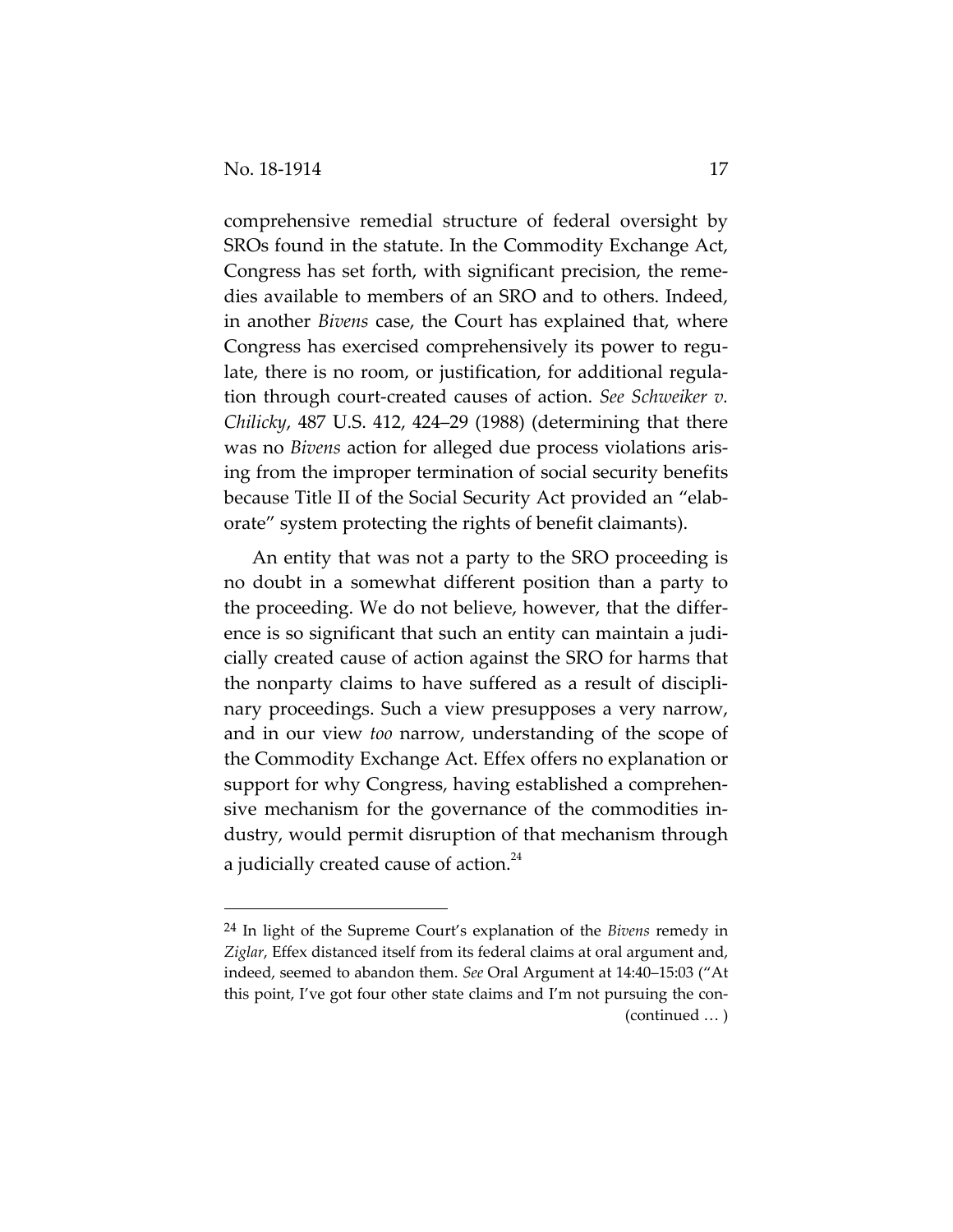comprehensive remedial structure of federal oversight by SROs found in the statute. In the Commodity Exchange Act, Congress has set forth, with significant precision, the reme‐ dies available to members of an SRO and to others. Indeed, in another *Bivens* case, the Court has explained that, where Congress has exercised comprehensively its power to regu‐ late, there is no room, or justification, for additional regula‐ tion through court‐created causes of action. *See Schweiker v. Chilicky*, 487 U.S. 412, 424–29 (1988) (determining that there was no *Bivens* action for alleged due process violations aris‐ ing from the improper termination of social security benefits because Title II of the Social Security Act provided an "elab‐ orate" system protecting the rights of benefit claimants).

An entity that was not a party to the SRO proceeding is no doubt in a somewhat different position than a party to the proceeding. We do not believe, however, that the differ‐ ence is so significant that such an entity can maintain a judicially created cause of action against the SRO for harms that the nonparty claims to have suffered as a result of discipli‐ nary proceedings. Such a view presupposes a very narrow, and in our view *too* narrow, understanding of the scope of the Commodity Exchange Act. Effex offers no explanation or support for why Congress, having established a comprehensive mechanism for the governance of the commodities in‐ dustry, would permit disruption of that mechanism through a judicially created cause of action. $^{24}$ 

<sup>24</sup> In light of the Supreme Court's explanation of the *Bivens* remedy in *Ziglar*, Effex distanced itself from its federal claims at oral argument and, indeed, seemed to abandon them. *See* Oral Argument at 14:40–15:03 ("At this point, I've got four other state claims and I'm not pursuing the con‐ (continued … )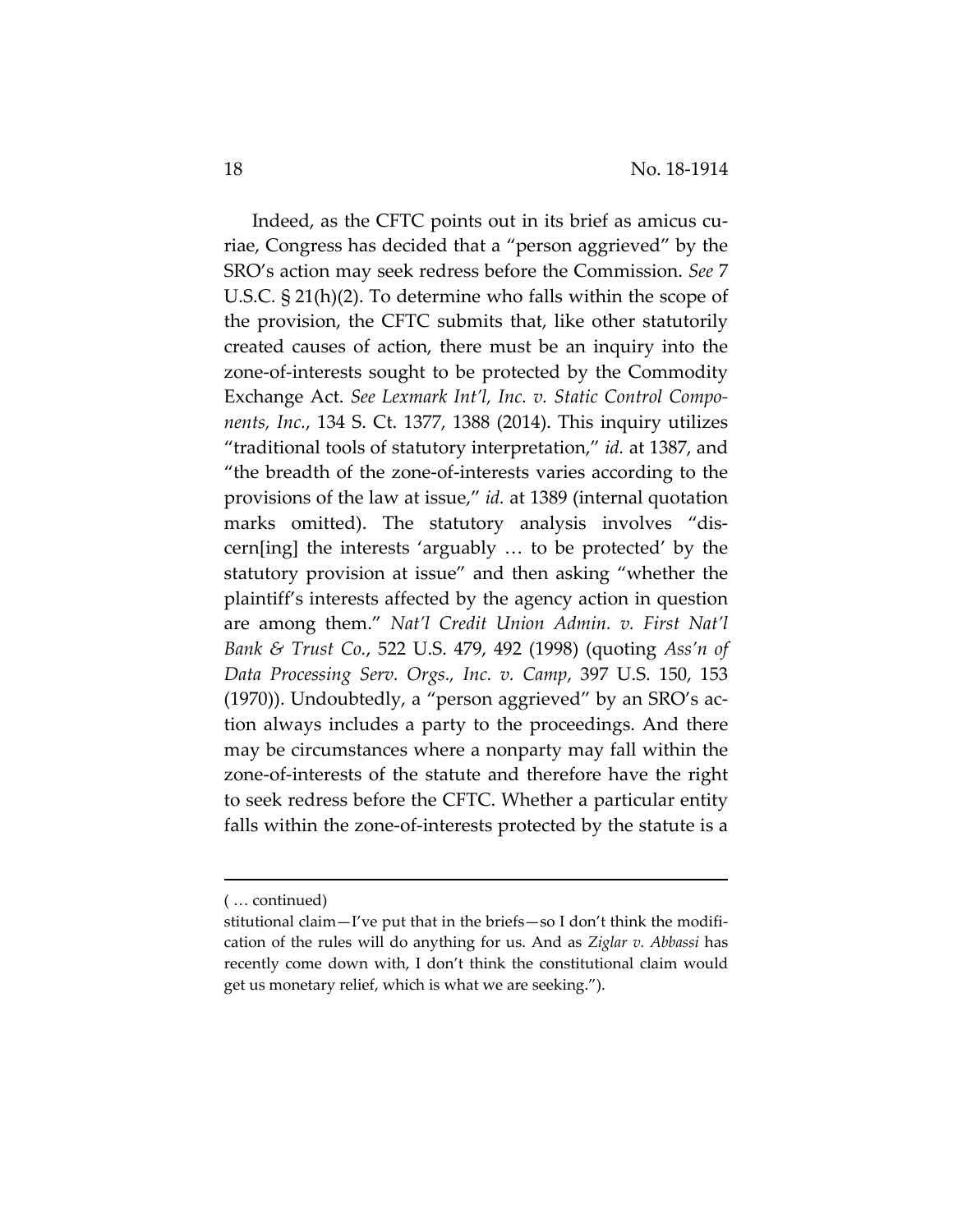Indeed, as the CFTC points out in its brief as amicus cu‐ riae, Congress has decided that a "person aggrieved" by the SRO's action may seek redress before the Commission. *See* 7 U.S.C. § 21(h)(2). To determine who falls within the scope of the provision, the CFTC submits that, like other statutorily created causes of action, there must be an inquiry into the zone‐of‐interests sought to be protected by the Commodity Exchange Act. *See Lexmark Int'l, Inc. v. Static Control Compo‐ nents, Inc.*, 134 S. Ct. 1377, 1388 (2014). This inquiry utilizes "traditional tools of statutory interpretation," *id.* at 1387, and "the breadth of the zone‐of‐interests varies according to the provisions of the law at issue," *id.* at 1389 (internal quotation marks omitted). The statutory analysis involves "discern[ing] the interests 'arguably … to be protected' by the statutory provision at issue" and then asking "whether the plaintiff's interests affected by the agency action in question are among them." *Nat'l Credit Union Admin. v. First Nat'l Bank & Trust Co.*, 522 U.S. 479, 492 (1998) (quoting *Ass'n of Data Processing Serv. Orgs., Inc. v. Camp*, 397 U.S. 150, 153 (1970)). Undoubtedly, a "person aggrieved" by an SRO's ac‐ tion always includes a party to the proceedings. And there may be circumstances where a nonparty may fall within the zone‐of‐interests of the statute and therefore have the right to seek redress before the CFTC. Whether a particular entity falls within the zone-of-interests protected by the statute is a

<u> Andreas Andreas Andreas Andreas Andreas Andreas Andreas Andreas Andreas Andreas Andreas Andreas Andreas Andr</u>

<sup>(</sup> … continued)

stitutional claim—I've put that in the briefs—so I don't think the modifi‐ cation of the rules will do anything for us. And as *Ziglar v. Abbassi* has recently come down with, I don't think the constitutional claim would get us monetary relief, which is what we are seeking.").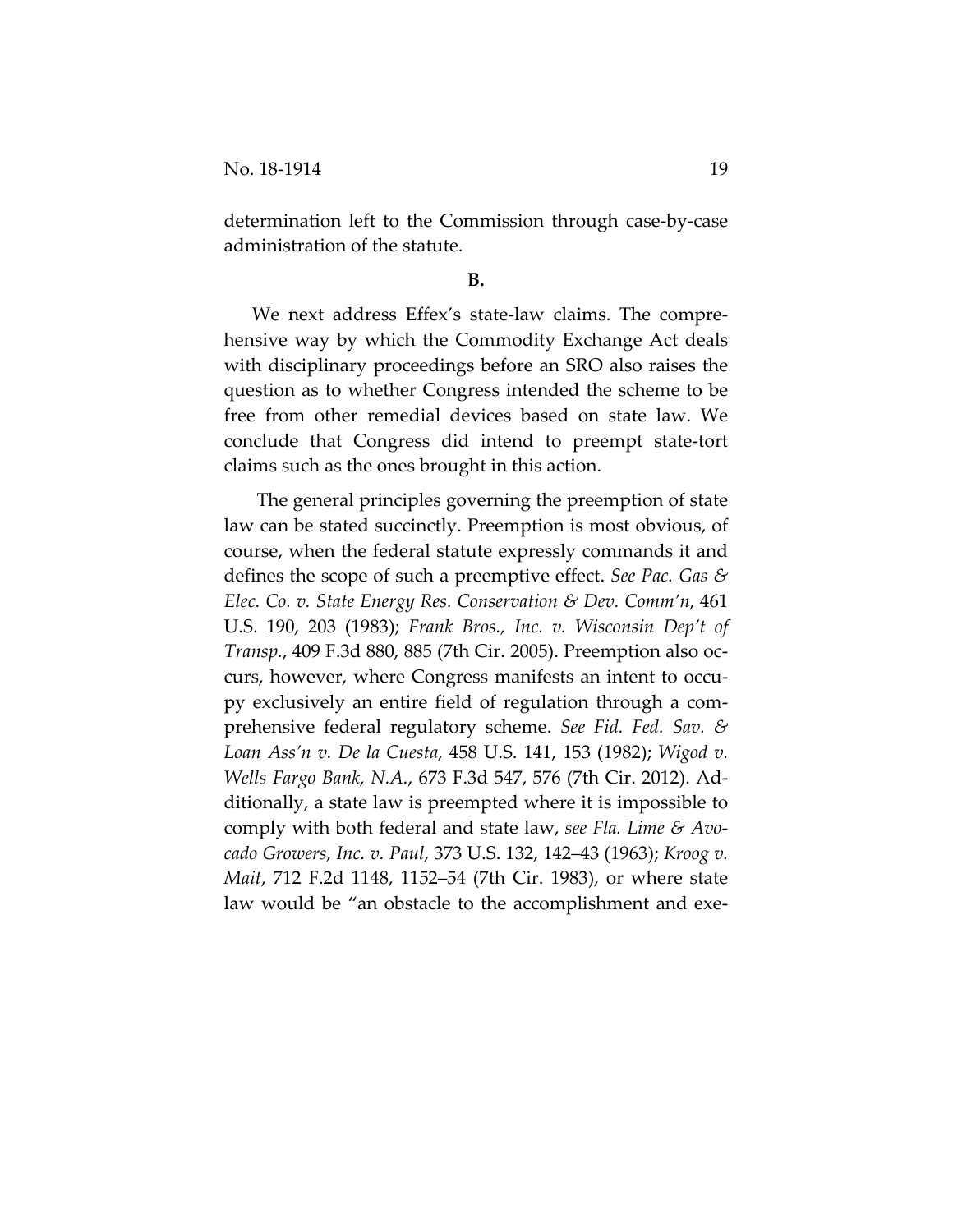determination left to the Commission through case‐by‐case administration of the statute.

### **B.**

We next address Effex's state-law claims. The comprehensive way by which the Commodity Exchange Act deals with disciplinary proceedings before an SRO also raises the question as to whether Congress intended the scheme to be free from other remedial devices based on state law. We conclude that Congress did intend to preempt state‐tort claims such as the ones brought in this action.

The general principles governing the preemption of state law can be stated succinctly. Preemption is most obvious, of course, when the federal statute expressly commands it and defines the scope of such a preemptive effect. *See Pac. Gas & Elec. Co. v. State Energy Res. Conservation & Dev. Comm'n*, 461 U.S. 190, 203 (1983); *Frank Bros., Inc. v. Wisconsin Dep't of Transp.*, 409 F.3d 880, 885 (7th Cir. 2005). Preemption also oc‐ curs, however, where Congress manifests an intent to occupy exclusively an entire field of regulation through a com‐ prehensive federal regulatory scheme. *See Fid. Fed. Sav. & Loan Ass'n v. De la Cuesta*, 458 U.S. 141, 153 (1982); *Wigod v. Wells Fargo Bank, N.A.*, 673 F.3d 547, 576 (7th Cir. 2012). Ad‐ ditionally, a state law is preempted where it is impossible to comply with both federal and state law, *see Fla. Lime & Avo‐ cado Growers, Inc. v. Paul*, 373 U.S. 132, 142–43 (1963); *Kroog v. Mait*, 712 F.2d 1148, 1152–54 (7th Cir. 1983), or where state law would be "an obstacle to the accomplishment and exe-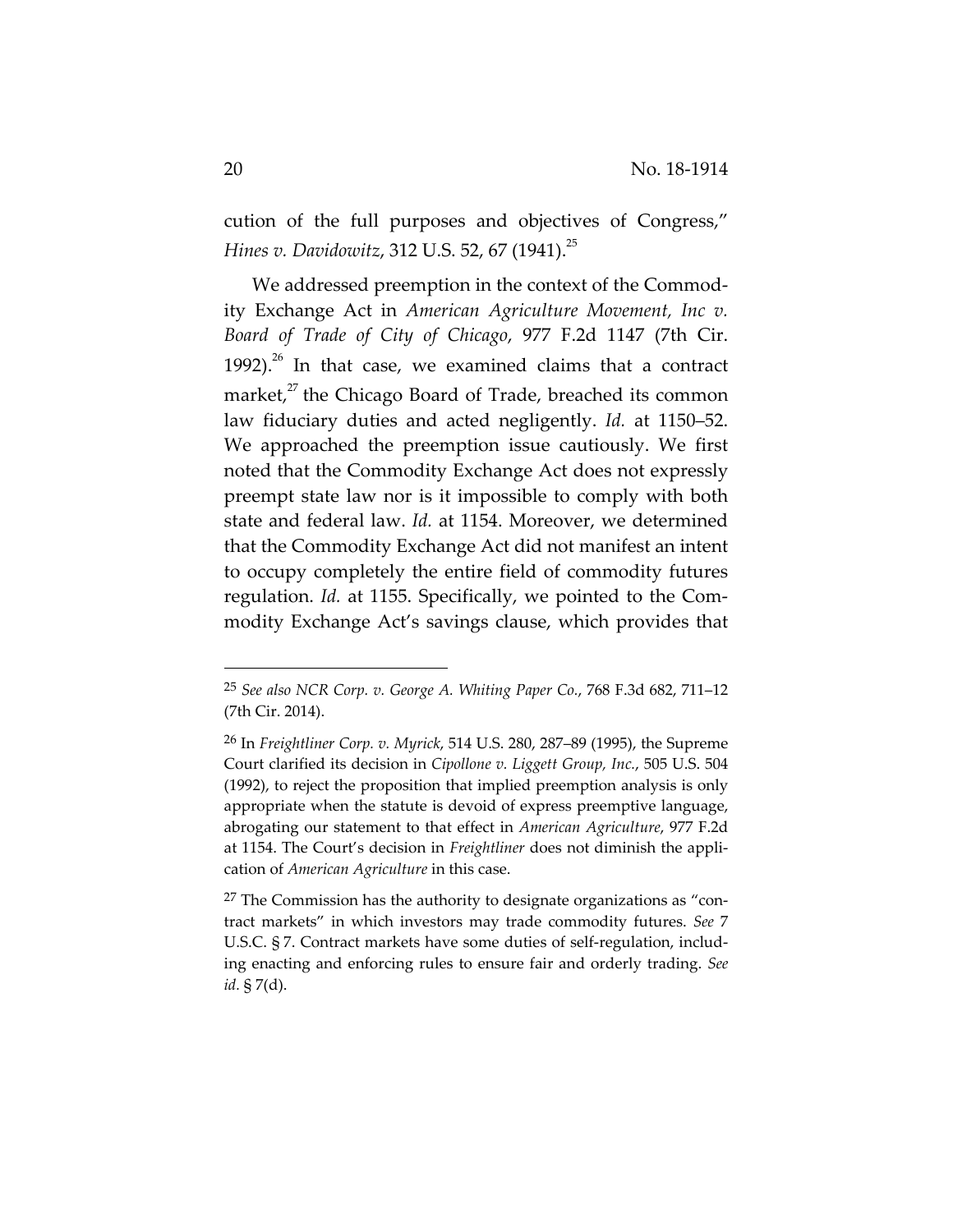cution of the full purposes and objectives of Congress," *Hines v. Davidowitz*, 312 U.S. 52, 67 (1941).<sup>25</sup>

We addressed preemption in the context of the Commod‐ ity Exchange Act in *American Agriculture Movement, Inc v. Board of Trade of City of Chicago*, 977 F.2d 1147 (7th Cir. 1992).<sup>26</sup> In that case, we examined claims that a contract market,<sup>27</sup> the Chicago Board of Trade, breached its common law fiduciary duties and acted negligently. *Id.* at 1150–52. We approached the preemption issue cautiously. We first noted that the Commodity Exchange Act does not expressly preempt state law nor is it impossible to comply with both state and federal law. *Id.* at 1154. Moreover, we determined that the Commodity Exchange Act did not manifest an intent to occupy completely the entire field of commodity futures regulation. *Id.* at 1155. Specifically, we pointed to the Com‐ modity Exchange Act's savings clause, which provides that

<sup>25</sup> *See also NCR Corp. v. George A. Whiting Paper Co.*, 768 F.3d 682, 711–12 (7th Cir. 2014).

<sup>26</sup> In *Freightliner Corp. v. Myrick*, 514 U.S. 280, 287–89 (1995), the Supreme Court clarified its decision in *Cipollone v. Liggett Group, Inc.*, 505 U.S. 504 (1992), to reject the proposition that implied preemption analysis is only appropriate when the statute is devoid of express preemptive language, abrogating our statement to that effect in *American Agriculture*, 977 F.2d at 1154. The Court's decision in *Freightliner* does not diminish the appli‐ cation of *American Agriculture* in this case.

 $27$  The Commission has the authority to designate organizations as "contract markets" in which investors may trade commodity futures. *See* 7 U.S.C. § 7. Contract markets have some duties of self‐regulation, includ‐ ing enacting and enforcing rules to ensure fair and orderly trading. *See id.* § 7(d).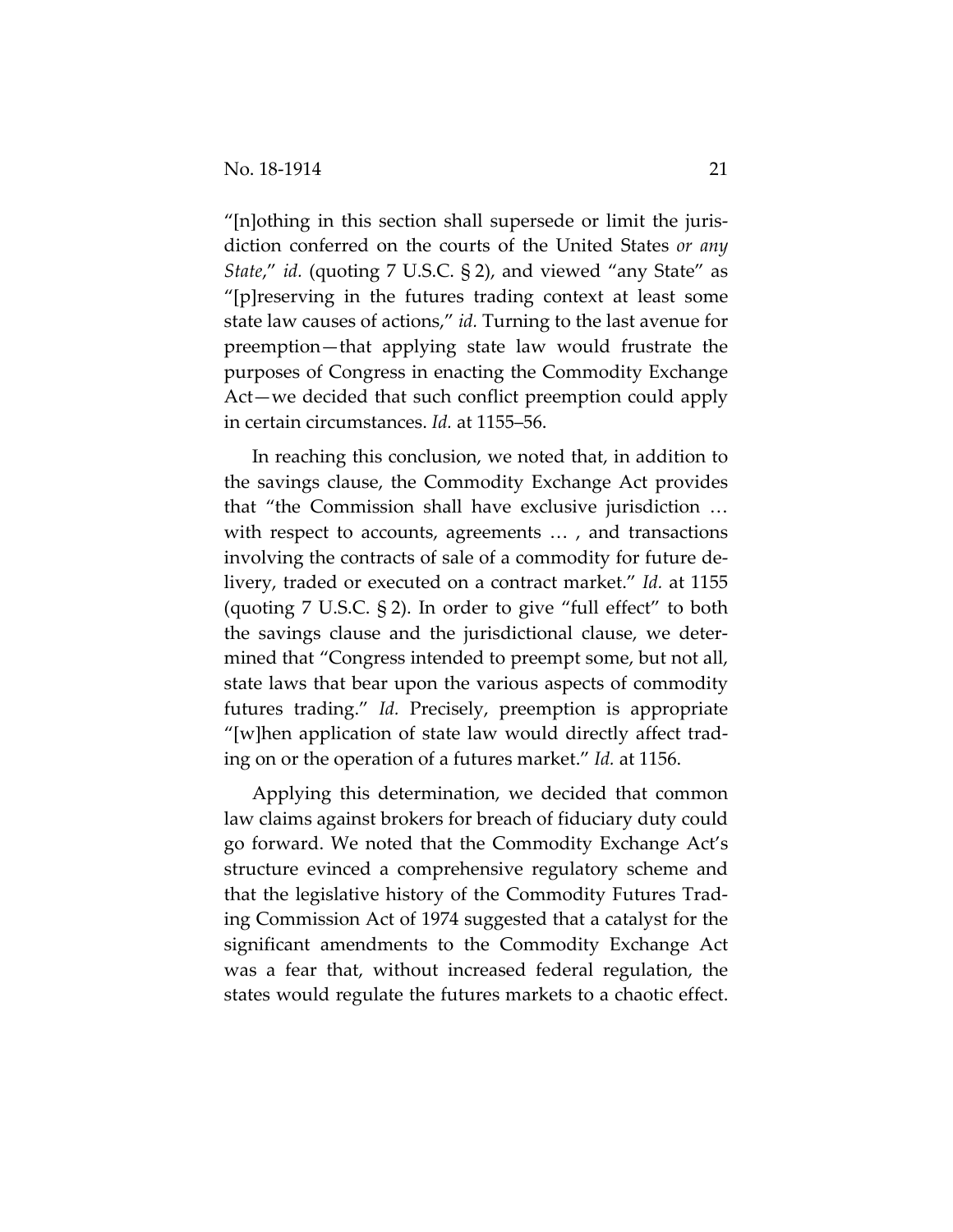"[n]othing in this section shall supersede or limit the juris‐ diction conferred on the courts of the United States *or any State*," *id.* (quoting 7 U.S.C. § 2), and viewed "any State" as "[p]reserving in the futures trading context at least some state law causes of actions," *id.* Turning to the last avenue for preemption—that applying state law would frustrate the purposes of Congress in enacting the Commodity Exchange Act—we decided that such conflict preemption could apply in certain circumstances. *Id.* at 1155–56.

In reaching this conclusion, we noted that, in addition to the savings clause, the Commodity Exchange Act provides that "the Commission shall have exclusive jurisdiction … with respect to accounts, agreements ..., and transactions involving the contracts of sale of a commodity for future de‐ livery, traded or executed on a contract market." *Id.* at 1155 (quoting 7 U.S.C. § 2). In order to give "full effect" to both the savings clause and the jurisdictional clause, we deter‐ mined that "Congress intended to preempt some, but not all, state laws that bear upon the various aspects of commodity futures trading." *Id.* Precisely, preemption is appropriate "[w]hen application of state law would directly affect trad‐ ing on or the operation of a futures market." *Id.* at 1156.

Applying this determination, we decided that common law claims against brokers for breach of fiduciary duty could go forward. We noted that the Commodity Exchange Act's structure evinced a comprehensive regulatory scheme and that the legislative history of the Commodity Futures Trad‐ ing Commission Act of 1974 suggested that a catalyst for the significant amendments to the Commodity Exchange Act was a fear that, without increased federal regulation, the states would regulate the futures markets to a chaotic effect.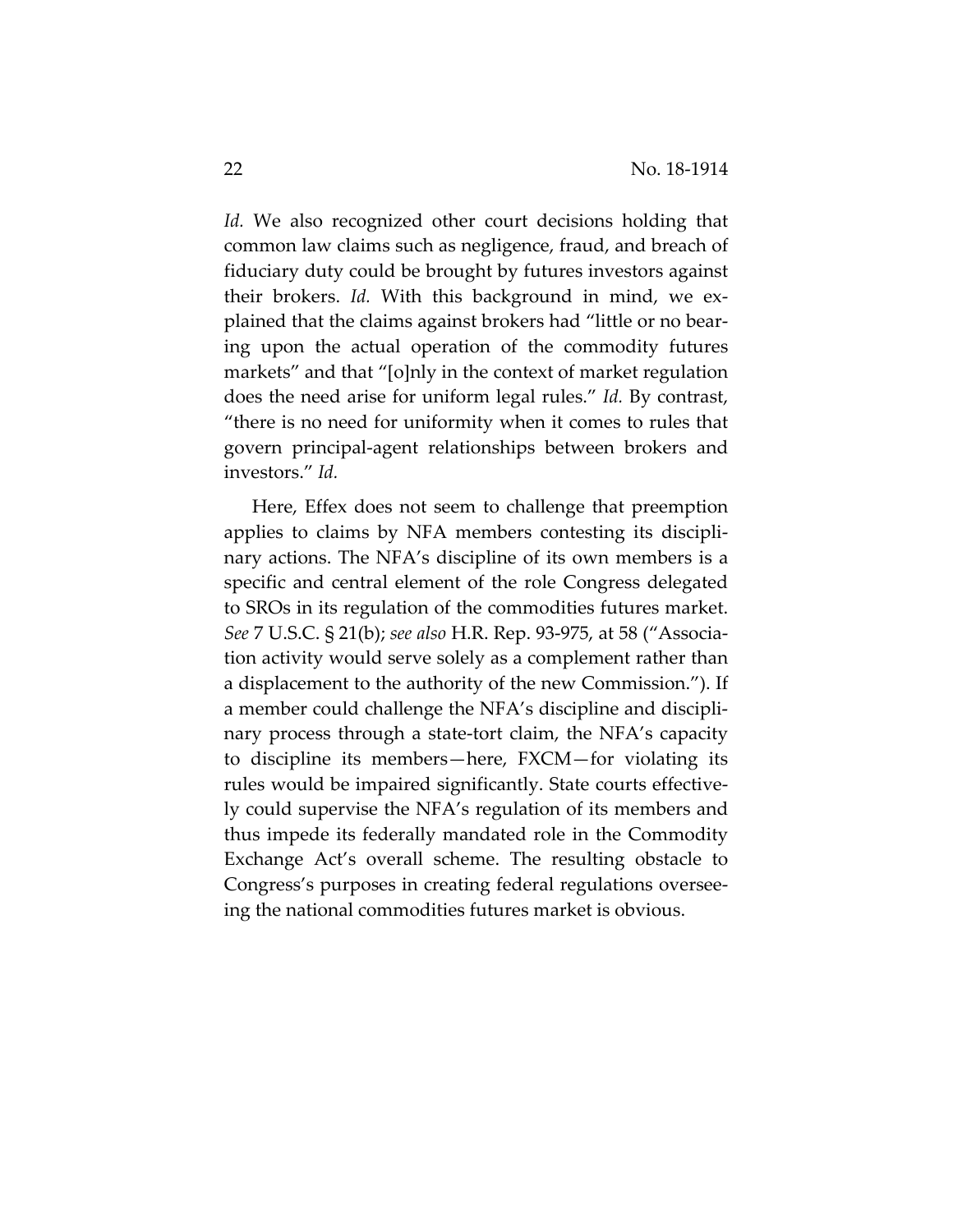*Id.* We also recognized other court decisions holding that common law claims such as negligence, fraud, and breach of fiduciary duty could be brought by futures investors against their brokers. *Id.* With this background in mind, we ex‐ plained that the claims against brokers had "little or no bear‐ ing upon the actual operation of the commodity futures markets" and that "[o]nly in the context of market regulation does the need arise for uniform legal rules." *Id.* By contrast, "there is no need for uniformity when it comes to rules that govern principal‐agent relationships between brokers and investors." *Id.*

Here, Effex does not seem to challenge that preemption applies to claims by NFA members contesting its discipli‐ nary actions. The NFA's discipline of its own members is a specific and central element of the role Congress delegated to SROs in its regulation of the commodities futures market. *See* 7 U.S.C. § 21(b); *see also* H.R. Rep. 93‐975, at 58 ("Associa‐ tion activity would serve solely as a complement rather than a displacement to the authority of the new Commission."). If a member could challenge the NFA's discipline and discipli‐ nary process through a state-tort claim, the NFA's capacity to discipline its members—here, FXCM—for violating its rules would be impaired significantly. State courts effective‐ ly could supervise the NFA's regulation of its members and thus impede its federally mandated role in the Commodity Exchange Act's overall scheme. The resulting obstacle to Congress's purposes in creating federal regulations oversee‐ ing the national commodities futures market is obvious.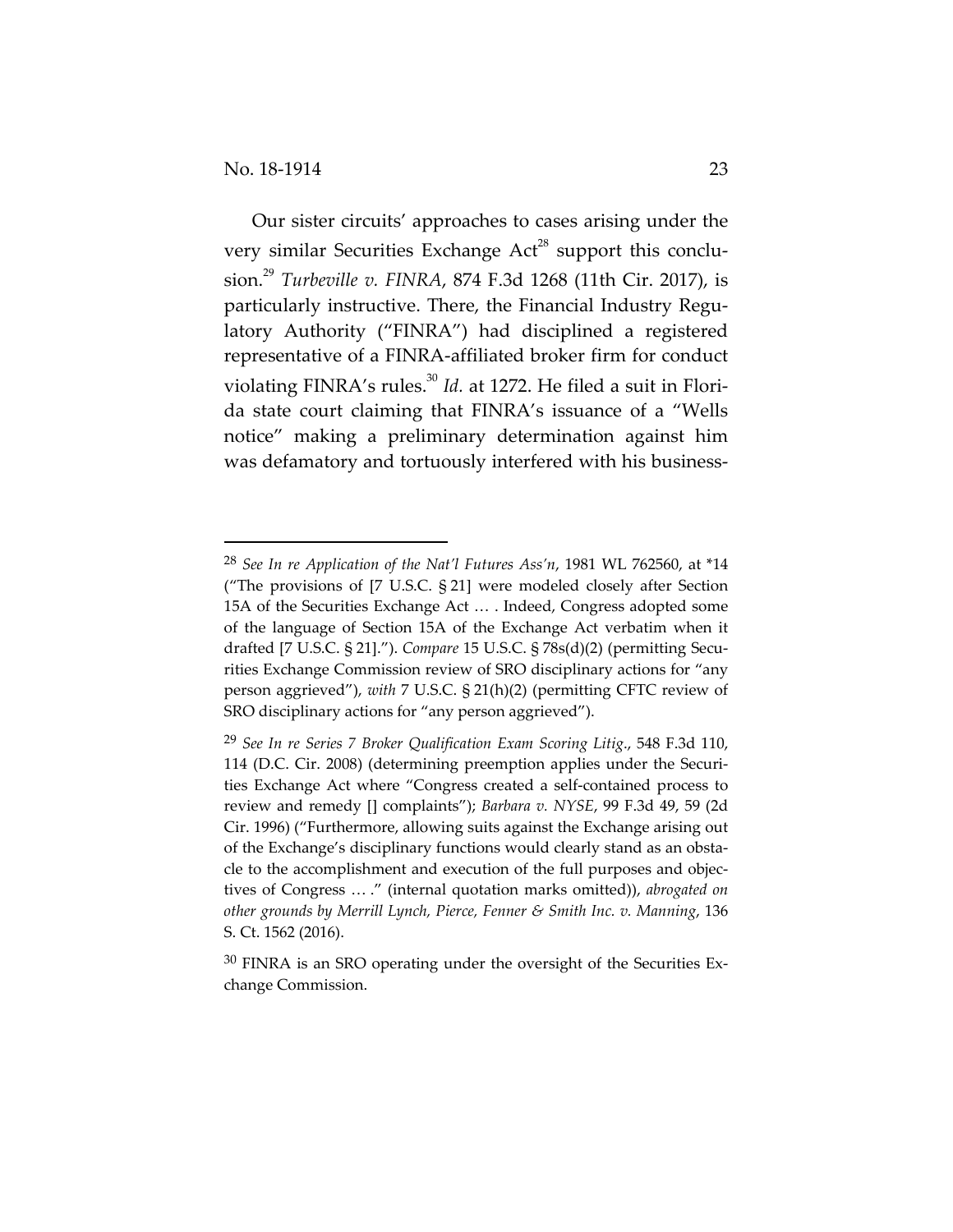Our sister circuits' approaches to cases arising under the very similar Securities Exchange  $Act^{28}$  support this conclusion.<sup>29</sup> *Turbeville v. FINRA*, 874 F.3d 1268 (11th Cir. 2017), is particularly instructive. There, the Financial Industry Regulatory Authority ("FINRA") had disciplined a registered representative of a FINRA‐affiliated broker firm for conduct violating FINRA's rules.<sup>30</sup> *Id.* at 1272. He filed a suit in Florida state court claiming that FINRA's issuance of a "Wells notice" making a preliminary determination against him was defamatory and tortuously interfered with his business-

<sup>28</sup> *See In re Application of the Nat'l Futures Ass'n*, 1981 WL 762560, at \*14 ("The provisions of [7 U.S.C. § 21] were modeled closely after Section 15A of the Securities Exchange Act … . Indeed, Congress adopted some of the language of Section 15A of the Exchange Act verbatim when it drafted [7 U.S.C. § 21]."). *Compare* 15 U.S.C. § 78s(d)(2) (permitting Secu‐ rities Exchange Commission review of SRO disciplinary actions for "any person aggrieved"), *with* 7 U.S.C. § 21(h)(2) (permitting CFTC review of SRO disciplinary actions for "any person aggrieved").

<sup>29</sup> *See In re Series 7 Broker Qualification Exam Scoring Litig*., 548 F.3d 110, 114 (D.C. Cir. 2008) (determining preemption applies under the Securi‐ ties Exchange Act where "Congress created a self‐contained process to review and remedy [] complaints"); *Barbara v. NYSE*, 99 F.3d 49, 59 (2d Cir. 1996) ("Furthermore, allowing suits against the Exchange arising out of the Exchange's disciplinary functions would clearly stand as an obsta‐ cle to the accomplishment and execution of the full purposes and objectives of Congress … ." (internal quotation marks omitted)), *abrogated on other grounds by Merrill Lynch, Pierce, Fenner & Smith Inc. v. Manning*, 136 S. Ct. 1562 (2016).

 $30$  FINRA is an SRO operating under the oversight of the Securities Exchange Commission.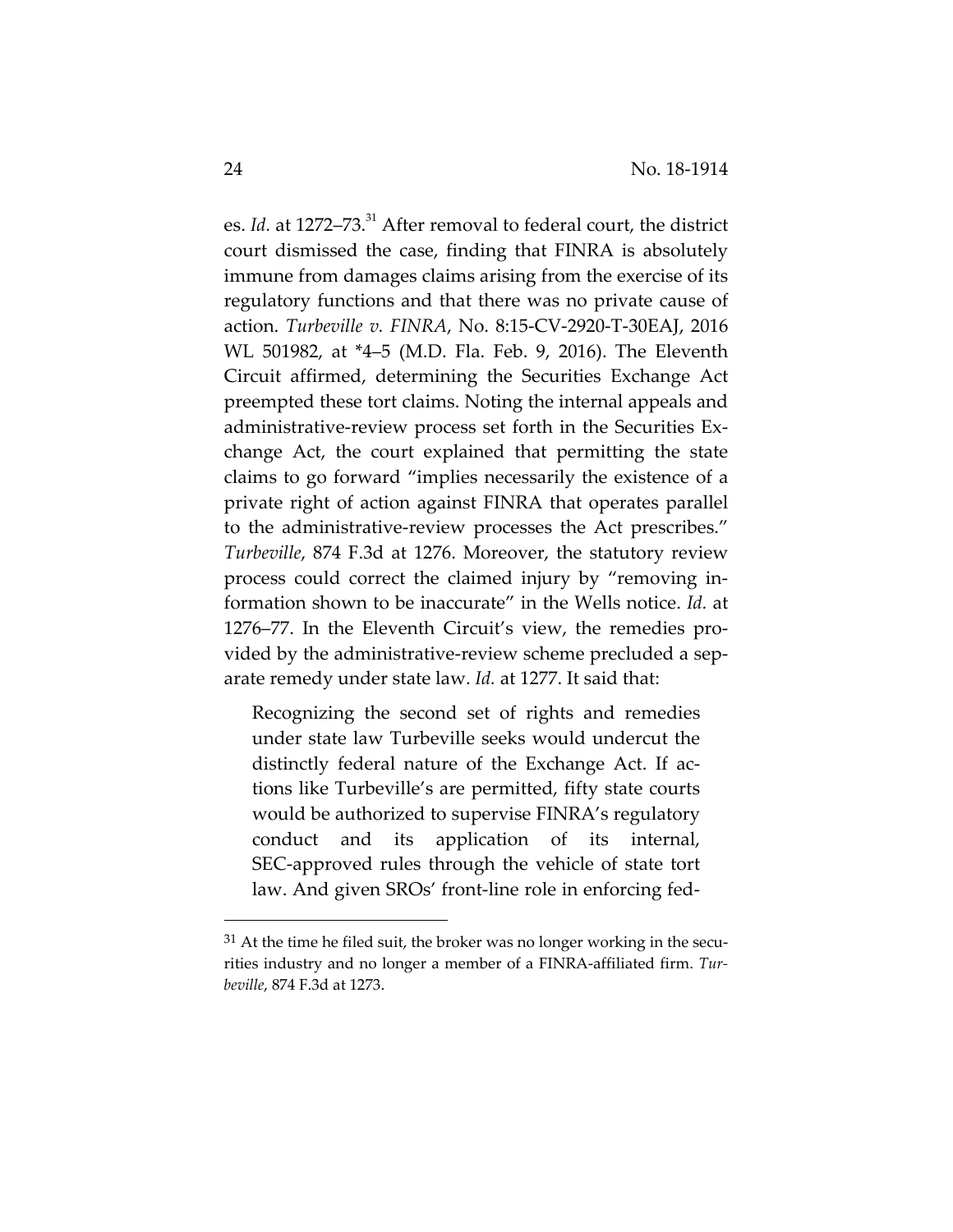es. *Id.* at 1272–73.<sup>31</sup> After removal to federal court, the district court dismissed the case, finding that FINRA is absolutely immune from damages claims arising from the exercise of its regulatory functions and that there was no private cause of action. *Turbeville v. FINRA*, No. 8:15‐CV‐2920‐T‐30EAJ, 2016 WL 501982, at \*4–5 (M.D. Fla. Feb. 9, 2016). The Eleventh Circuit affirmed, determining the Securities Exchange Act preempted these tort claims. Noting the internal appeals and administrative‐review process set forth in the Securities Ex‐ change Act, the court explained that permitting the state claims to go forward "implies necessarily the existence of a private right of action against FINRA that operates parallel to the administrative‐review processes the Act prescribes." *Turbeville*, 874 F.3d at 1276. Moreover, the statutory review process could correct the claimed injury by "removing in‐ formation shown to be inaccurate" in the Wells notice. *Id.* at 1276–77. In the Eleventh Circuit's view, the remedies pro‐ vided by the administrative‐review scheme precluded a sep‐ arate remedy under state law. *Id.* at 1277. It said that:

Recognizing the second set of rights and remedies under state law Turbeville seeks would undercut the distinctly federal nature of the Exchange Act. If ac‐ tions like Turbeville's are permitted, fifty state courts would be authorized to supervise FINRA's regulatory conduct and its application of its internal, SEC‐approved rules through the vehicle of state tort law. And given SROs' front‐line role in enforcing fed‐

 $31$  At the time he filed suit, the broker was no longer working in the securities industry and no longer a member of a FINRA‐affiliated firm. *Tur‐ beville*, 874 F.3d at 1273.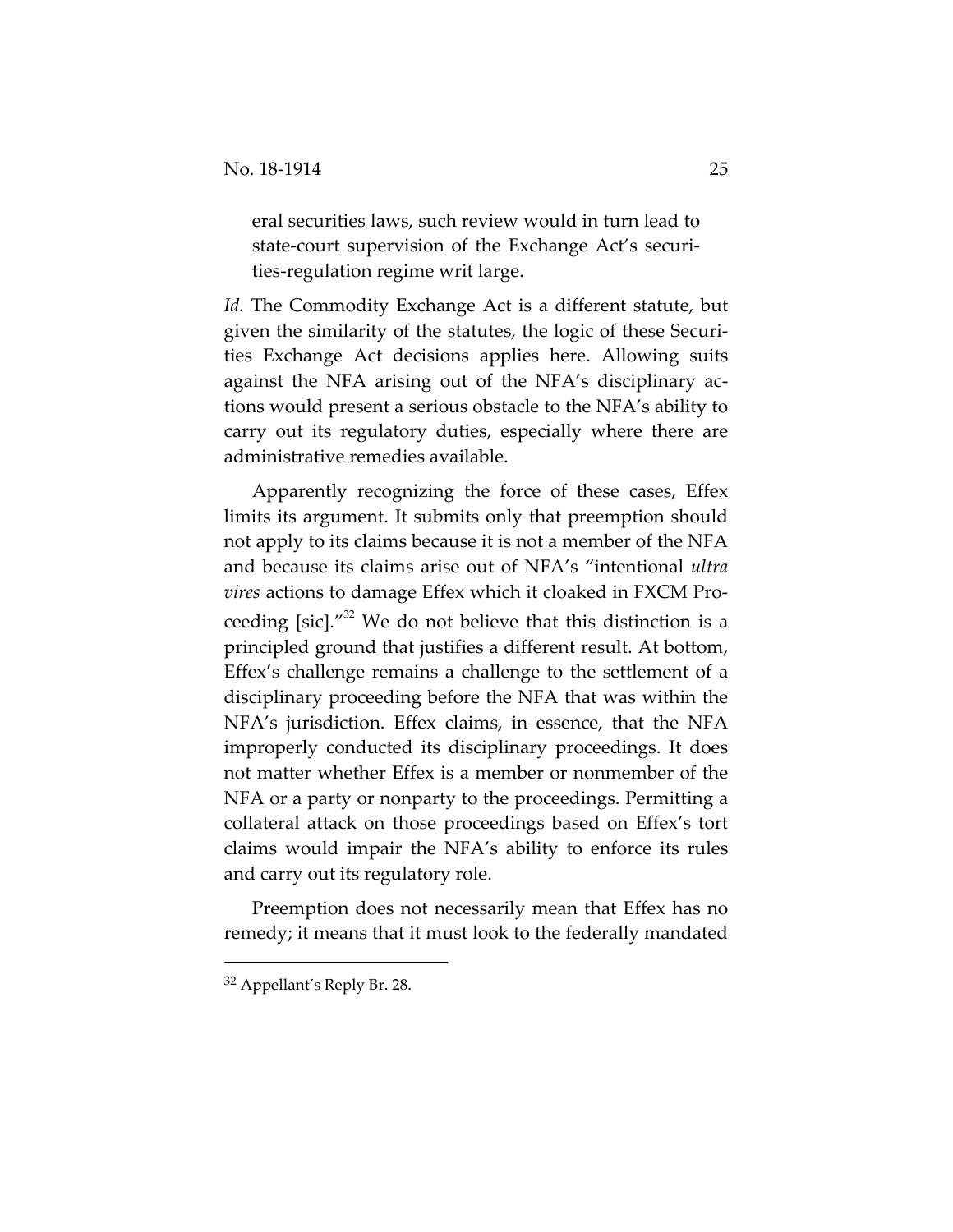eral securities laws, such review would in turn lead to state-court supervision of the Exchange Act's securities‐regulation regime writ large.

*Id.* The Commodity Exchange Act is a different statute, but given the similarity of the statutes, the logic of these Securi‐ ties Exchange Act decisions applies here. Allowing suits against the NFA arising out of the NFA's disciplinary ac‐ tions would present a serious obstacle to the NFA's ability to carry out its regulatory duties, especially where there are administrative remedies available.

Apparently recognizing the force of these cases, Effex limits its argument. It submits only that preemption should not apply to its claims because it is not a member of the NFA and because its claims arise out of NFA's "intentional *ultra vires* actions to damage Effex which it cloaked in FXCM Pro‐ ceeding [sic]." $32$  We do not believe that this distinction is a principled ground that justifies a different result. At bottom, Effex's challenge remains a challenge to the settlement of a disciplinary proceeding before the NFA that was within the NFA's jurisdiction. Effex claims, in essence, that the NFA improperly conducted its disciplinary proceedings. It does not matter whether Effex is a member or nonmember of the NFA or a party or nonparty to the proceedings. Permitting a collateral attack on those proceedings based on Effex's tort claims would impair the NFA's ability to enforce its rules and carry out its regulatory role.

Preemption does not necessarily mean that Effex has no remedy; it means that it must look to the federally mandated

<sup>32</sup> Appellant's Reply Br. 28.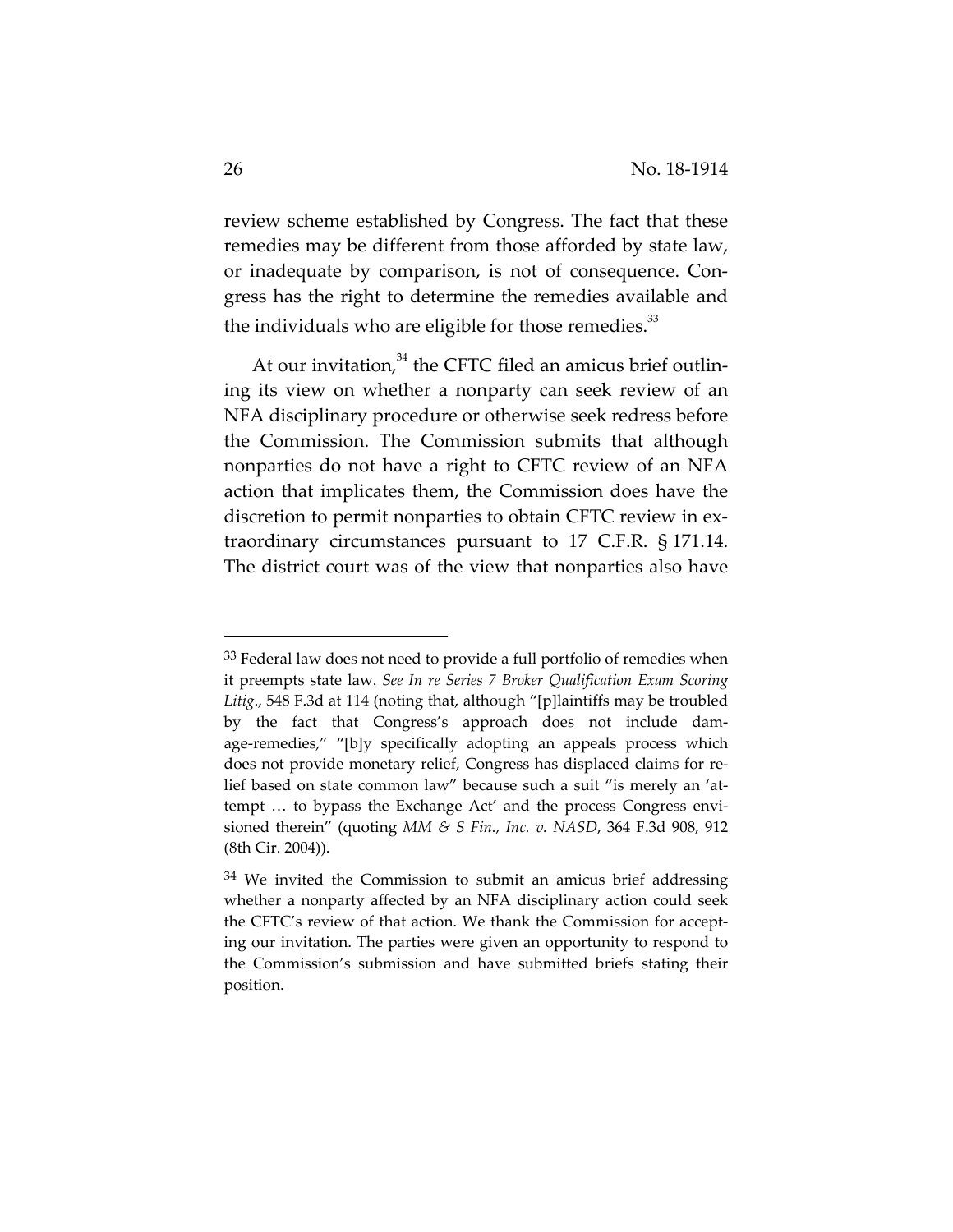review scheme established by Congress. The fact that these remedies may be different from those afforded by state law, or inadequate by comparison, is not of consequence. Con‐ gress has the right to determine the remedies available and the individuals who are eligible for those remedies. $33$ 

At our invitation, $34$  the CFTC filed an amicus brief outlining its view on whether a nonparty can seek review of an NFA disciplinary procedure or otherwise seek redress before the Commission. The Commission submits that although nonparties do not have a right to CFTC review of an NFA action that implicates them, the Commission does have the discretion to permit nonparties to obtain CFTC review in ex‐ traordinary circumstances pursuant to 17 C.F.R. § 171.14. The district court was of the view that nonparties also have

<sup>&</sup>lt;sup>33</sup> Federal law does not need to provide a full portfolio of remedies when it preempts state law. *See In re Series 7 Broker Qualification Exam Scoring Litig*., 548 F.3d at 114 (noting that, although "[p]laintiffs may be troubled by the fact that Congress's approach does not include damage-remedies," "[b]y specifically adopting an appeals process which does not provide monetary relief, Congress has displaced claims for re‐ lief based on state common law" because such a suit "is merely an 'attempt ... to bypass the Exchange Act' and the process Congress envisioned therein" (quoting *MM & S Fin., Inc. v. NASD*, 364 F.3d 908, 912 (8th Cir. 2004)).

 $34$  We invited the Commission to submit an amicus brief addressing whether a nonparty affected by an NFA disciplinary action could seek the CFTC's review of that action. We thank the Commission for accepting our invitation. The parties were given an opportunity to respond to the Commission's submission and have submitted briefs stating their position.